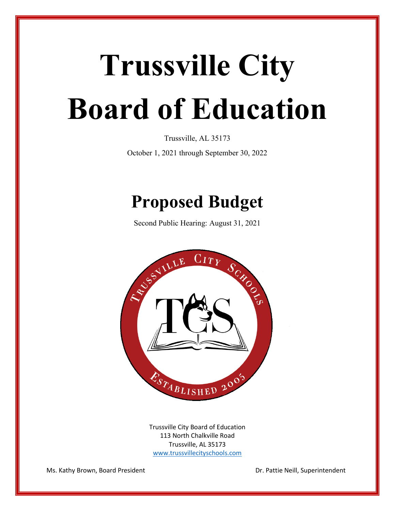# **Trussville City Board of Education**

Trussville, AL 35173

October 1, 2021 through September 30, 2022

# **Proposed Budget**

Second Public Hearing: August 31, 2021



Trussville City Board of Education 113 North Chalkville Road Trussville, AL 35173 [www.trussvillecityschools.com](http://www.trussvillecityschools.com/)

Ms. Kathy Brown, Board President New York Dr. Pattie Neill, Superintendent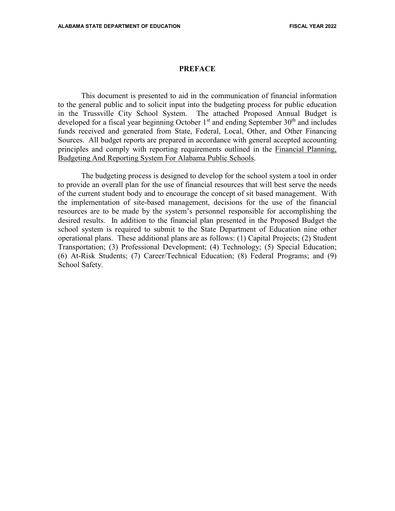#### **PREFACE**

This document is presented to aid in the communication of financial information to the general public and to solicit input into the budgeting process for public education in the Trussville City School System. The attached Proposed Annual Budget is developed for a fiscal year beginning October  $1<sup>st</sup>$  and ending September  $30<sup>th</sup>$  and includes funds received and generated from State, Federal, Local, Other, and Other Financing Sources. All budget reports are prepared in accordance with general accepted accounting principles and comply with reporting requirements outlined in the Financial Planning, Budgeting And Reporting System For Alabama Public Schools.

The budgeting process is designed to develop for the school system a tool in order to provide an overall plan for the use of financial resources that will best serve the needs of the current student body and to encourage the concept of sit based management. With the implementation of site-based management, decisions for the use of the financial resources are to be made by the system's personnel responsible for accomplishing the desired results. In addition to the financial plan presented in the Proposed Budget the school system is required to submit to the State Department of Education nine other operational plans. These additional plans are as follows: (1) Capital Projects; (2) Student Transportation; (3) Professional Development; (4) Technology; (5) Special Education; (6) At-Risk Students; (7) Career/Technical Education; (8) Federal Programs; and (9) School Safety.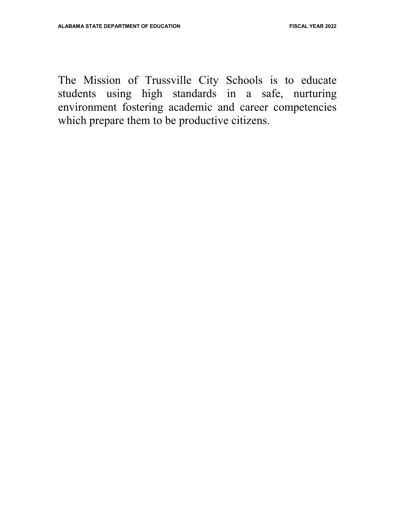The Mission of Trussville City Schools is to educate students using high standards in a safe, nurturing environment fostering academic and career competencies which prepare them to be productive citizens.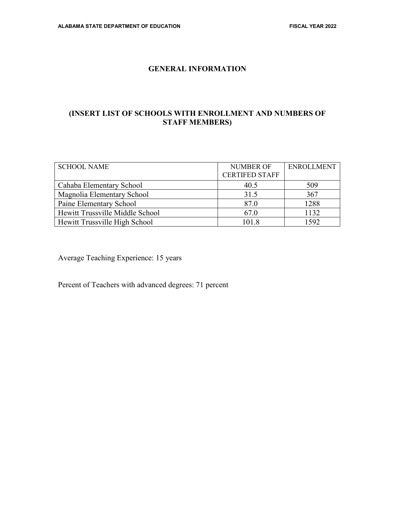#### **GENERAL INFORMATION**

#### **(INSERT LIST OF SCHOOLS WITH ENROLLMENT AND NUMBERS OF STAFF MEMBERS)**

| <b>SCHOOL NAME</b>              | NUMBER OF<br><b>CERTIFED STAFF</b> | <b>ENROLLMENT</b> |
|---------------------------------|------------------------------------|-------------------|
| Cahaba Elementary School        | 40.5                               | 509               |
| Magnolia Elementary School      | 31.5                               | 367               |
| Paine Elementary School         | 87.0                               | 1288              |
| Hewitt Trussville Middle School | 67.0                               | 1132              |
| Hewitt Trussville High School   | 101.8                              | 1592              |

Average Teaching Experience: 15 years

Percent of Teachers with advanced degrees: 71 percent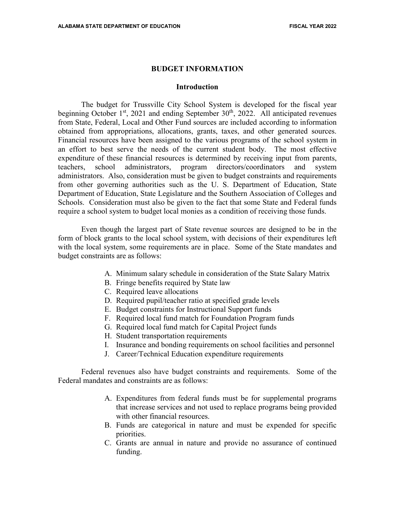#### **BUDGET INFORMATION**

#### **Introduction**

The budget for Trussville City School System is developed for the fiscal year beginning October  $1<sup>st</sup>$ , 2021 and ending September 30<sup>th</sup>, 2022. All anticipated revenues from State, Federal, Local and Other Fund sources are included according to information obtained from appropriations, allocations, grants, taxes, and other generated sources. Financial resources have been assigned to the various programs of the school system in an effort to best serve the needs of the current student body. The most effective expenditure of these financial resources is determined by receiving input from parents, teachers, school administrators, program directors/coordinators and system administrators. Also, consideration must be given to budget constraints and requirements from other governing authorities such as the U. S. Department of Education, State Department of Education, State Legislature and the Southern Association of Colleges and Schools. Consideration must also be given to the fact that some State and Federal funds require a school system to budget local monies as a condition of receiving those funds.

Even though the largest part of State revenue sources are designed to be in the form of block grants to the local school system, with decisions of their expenditures left with the local system, some requirements are in place. Some of the State mandates and budget constraints are as follows:

- A. Minimum salary schedule in consideration of the State Salary Matrix
- B. Fringe benefits required by State law
- C. Required leave allocations
- D. Required pupil/teacher ratio at specified grade levels
- E. Budget constraints for Instructional Support funds
- F. Required local fund match for Foundation Program funds
- G. Required local fund match for Capital Project funds
- H. Student transportation requirements
- I. Insurance and bonding requirements on school facilities and personnel
- J. Career/Technical Education expenditure requirements

Federal revenues also have budget constraints and requirements. Some of the Federal mandates and constraints are as follows:

- A. Expenditures from federal funds must be for supplemental programs that increase services and not used to replace programs being provided with other financial resources.
- B. Funds are categorical in nature and must be expended for specific priorities.
- C. Grants are annual in nature and provide no assurance of continued funding.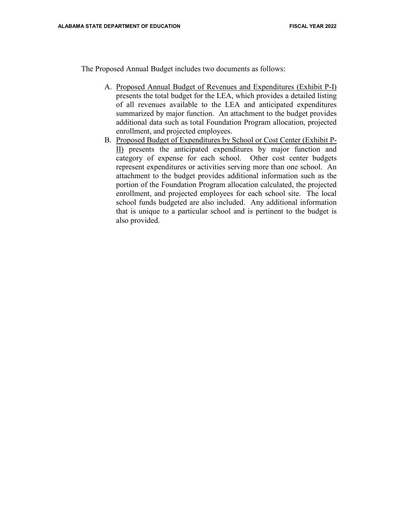The Proposed Annual Budget includes two documents as follows:

- A. Proposed Annual Budget of Revenues and Expenditures (Exhibit P-I) presents the total budget for the LEA, which provides a detailed listing of all revenues available to the LEA and anticipated expenditures summarized by major function. An attachment to the budget provides additional data such as total Foundation Program allocation, projected enrollment, and projected employees.
- B. Proposed Budget of Expenditures by School or Cost Center (Exhibit P-II) presents the anticipated expenditures by major function and category of expense for each school. Other cost center budgets represent expenditures or activities serving more than one school. An attachment to the budget provides additional information such as the portion of the Foundation Program allocation calculated, the projected enrollment, and projected employees for each school site. The local school funds budgeted are also included. Any additional information that is unique to a particular school and is pertinent to the budget is also provided.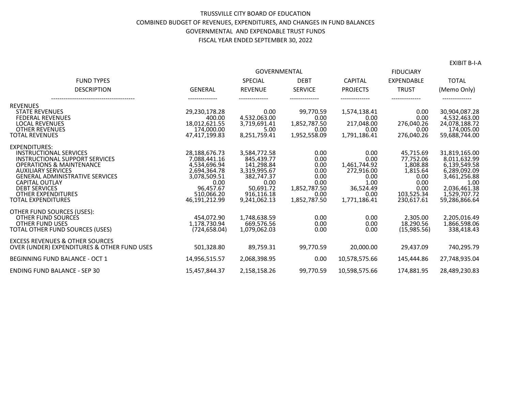#### TRUSSVILLE CITY BOARD OF EDUCATION COMBINED BUDGET OF REVENUES, EXPENDITURES, AND CHANGES IN FUND BALANCES GOVERNMENTAL AND EXPENDABLE TRUST FUNDS FISCAL YEAR ENDED SEPTEMBER 30, 2022

|                                                                                                                                                                                                                                                                                                                  | <b>GOVERNMENTAL</b>                                                                                                               |                                                                                                                           |                                                                                      | <b>FIDUCIARY</b>                                                                                |                                                                                                    |                                                                                                                                        |
|------------------------------------------------------------------------------------------------------------------------------------------------------------------------------------------------------------------------------------------------------------------------------------------------------------------|-----------------------------------------------------------------------------------------------------------------------------------|---------------------------------------------------------------------------------------------------------------------------|--------------------------------------------------------------------------------------|-------------------------------------------------------------------------------------------------|----------------------------------------------------------------------------------------------------|----------------------------------------------------------------------------------------------------------------------------------------|
| <b>FUND TYPES</b>                                                                                                                                                                                                                                                                                                |                                                                                                                                   | <b>SPECIAL</b>                                                                                                            | <b>DEBT</b>                                                                          | <b>CAPITAL</b>                                                                                  | <b>EXPENDABLE</b>                                                                                  | <b>TOTAL</b>                                                                                                                           |
| <b>DESCRIPTION</b>                                                                                                                                                                                                                                                                                               | <b>GENERAL</b>                                                                                                                    | <b>REVENUE</b>                                                                                                            | <b>SERVICE</b>                                                                       | <b>PROJECTS</b>                                                                                 | <b>TRUST</b>                                                                                       | (Memo Only)                                                                                                                            |
| <b>REVENUES</b><br><b>STATE REVENUES</b><br><b>FEDERAL REVENUES</b><br><b>LOCAL REVENUES</b><br><b>OTHER REVENUES</b><br><b>TOTAL REVENUES</b>                                                                                                                                                                   | 29.230.178.28<br>400.00<br>18.012.621.55<br>174.000.00<br>47.417.199.83                                                           | 0.00<br>4,532,063.00<br>3.719.691.41<br>5.00<br>8,251,759.41                                                              | 99.770.59<br>0.00<br>1,852,787.50<br>0.00<br>1,952,558.09                            | 1,574,138.41<br>0.00<br>217,048.00<br>0.00<br>1,791,186.41                                      | 0.00<br>0.00<br>276,040.26<br>0.00<br>276,040.26                                                   | 30.904.087.28<br>4,532,463.00<br>24,078,188.72<br>174.005.00<br>59,688,744.00                                                          |
| <b>EXPENDITURES:</b><br><b>INSTRUCTIONAL SERVICES</b><br>INSTRUCTIONAL SUPPORT SERVICES<br><b>OPERATIONS &amp; MAINTENANCE</b><br><b>AUXILIARY SERVICES</b><br><b>GENERAL ADMINISTRATIVE SERVICES</b><br><b>CAPITAL OUTLAY</b><br><b>DEBT SERVICES</b><br><b>OTHER EXPENDITURES</b><br><b>TOTAL EXPENDITURES</b> | 28,188,676.73<br>7,088,441.16<br>4,534,696.94<br>2.694.364.78<br>3.078.509.51<br>0.00<br>96.457.67<br>510.066.20<br>46.191.212.99 | 3.584.772.58<br>845,439.77<br>141,298.84<br>3.319.995.67<br>382.747.37<br>0.00<br>50.691.72<br>916.116.18<br>9.241.062.13 | 0.00<br>0.00<br>0.00<br>0.00<br>0.00<br>0.00<br>1.852.787.50<br>0.00<br>1,852,787.50 | 0.00<br>0.00<br>1,461,744.92<br>272.916.00<br>0.00<br>1.00<br>36.524.49<br>0.00<br>1.771.186.41 | 45.715.69<br>77,752.06<br>1,808.88<br>1,815.64<br>0.00<br>0.00<br>0.00<br>103.525.34<br>230.617.61 | 31.819.165.00<br>8,011,632.99<br>6,139,549.58<br>6.289.092.09<br>3,461,256.88<br>1.00<br>2,036,461.38<br>1,529,707.72<br>59.286.866.64 |
| OTHER FUND SOURCES (USES):<br>OTHER FUND SOURCES<br><b>OTHER FUND USES</b><br>TOTAL OTHER FUND SOURCES (USES)                                                                                                                                                                                                    | 454.072.90<br>1.178.730.94<br>(724.658.04)                                                                                        | 1.748.638.59<br>669.576.56<br>1.079.062.03                                                                                | 0.00<br>0.00<br>0.00                                                                 | 0.00<br>0.00<br>0.00                                                                            | 2.305.00<br>18.290.56<br>(15.985.56)                                                               | 2.205.016.49<br>1.866.598.06<br>338.418.43                                                                                             |
| <b>EXCESS REVENUES &amp; OTHER SOURCES</b><br>OVER (UNDER) EXPENDITURES & OTHER FUND USES                                                                                                                                                                                                                        | 501,328.80                                                                                                                        | 89.759.31                                                                                                                 | 99,770.59                                                                            | 20.000.00                                                                                       | 29,437.09                                                                                          | 740,295.79                                                                                                                             |
| <b>BEGINNING FUND BALANCE - OCT 1</b>                                                                                                                                                                                                                                                                            | 14,956,515.57                                                                                                                     | 2,068,398.95                                                                                                              | 0.00                                                                                 | 10,578,575.66                                                                                   | 145,444.86                                                                                         | 27,748,935.04                                                                                                                          |
| <b>ENDING FUND BALANCE - SEP 30</b>                                                                                                                                                                                                                                                                              | 15,457,844.37                                                                                                                     | 2,158,158.26                                                                                                              | 99,770.59                                                                            | 10,598,575.66                                                                                   | 174,881.95                                                                                         | 28,489,230.83                                                                                                                          |

EXIBIT B-I-A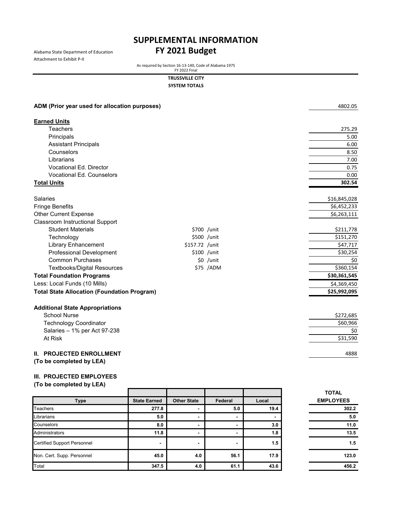Attachment to Exhibit P-II

# Alabama State Department of Education **FY 2021 Budget SUPPLEMENTAL INFORMATION**

As required by Section 16-13-140, Code of Alabama 1975 FY 2022 Final

**TRUSSVILLE CITY**

**SYSTEM TOTALS**

| ADM (Prior year used for allocation purposes)        |                |             | 4802.05      |
|------------------------------------------------------|----------------|-------------|--------------|
| <b>Earned Units</b>                                  |                |             |              |
| <b>Teachers</b>                                      |                |             | 275.29       |
| Principals                                           |                |             | 5.00         |
| <b>Assistant Principals</b>                          |                |             | 6.00         |
| Counselors                                           |                |             | 8.50         |
| Librarians                                           |                |             | 7.00         |
| <b>Vocational Ed. Director</b>                       |                |             | 0.75         |
| <b>Vocational Ed. Counselors</b>                     |                |             | 0.00         |
| <b>Total Units</b>                                   |                |             | 302.54       |
| Salaries                                             |                |             | \$16,845,028 |
| <b>Fringe Benefits</b>                               |                |             | \$6,452,233  |
| <b>Other Current Expense</b>                         |                |             | \$6,263,111  |
| <b>Classroom Instructional Support</b>               |                |             |              |
| <b>Student Materials</b>                             |                | \$700 /unit | \$211,778    |
| Technology                                           |                | \$500 /unit | \$151,270    |
| <b>Library Enhancement</b>                           | \$157.72 /unit |             | \$47,717     |
| <b>Professional Development</b>                      |                | \$100 /unit | \$30,254     |
| <b>Common Purchases</b>                              |                | \$0 /unit   | \$0          |
| <b>Textbooks/Digital Resources</b>                   |                | \$75 /ADM   | \$360,154    |
| <b>Total Foundation Programs</b>                     |                |             | \$30,361,545 |
| Less: Local Funds (10 Mills)                         |                |             | \$4,369,450  |
| <b>Total State Allocation (Foundation Program)</b>   |                |             | \$25,992,095 |
| <b>Additional State Appropriations</b>               |                |             |              |
| <b>School Nurse</b>                                  |                |             | \$272,685    |
| <b>Technology Coordinator</b>                        |                |             | \$60,966     |
| Salaries - 1% per Act 97-238                         |                |             | \$0          |
| At Risk                                              |                |             | \$31,590     |
| II. PROJECTED ENROLLMENT<br>(To be completed by LEA) |                |             | 4888         |
|                                                      |                |             |              |

#### **III. PROJECTED EMPLOYEES**

|                                    |                     |                          |                          |                          | <b>TOTAL</b>     |
|------------------------------------|---------------------|--------------------------|--------------------------|--------------------------|------------------|
| <b>Type</b>                        | <b>State Earned</b> | <b>Other State</b>       | Federal                  | Local                    | <b>EMPLOYEES</b> |
| <b>Teachers</b>                    | 277.8               | $\overline{\phantom{0}}$ | 5.0                      | 19.4                     | 302.2            |
| Librarians                         | 5.0                 | $\blacksquare$           | $\overline{\phantom{0}}$ | $\overline{\phantom{0}}$ | 5.0              |
| Counselors                         | 8.0                 | $\overline{\phantom{0}}$ | $\overline{\phantom{0}}$ | 3.0                      | 11.0             |
| Administrators                     | 11.8                | $\blacksquare$           | $\overline{\phantom{0}}$ | 1.8                      | 13.5             |
| <b>Certified Support Personnel</b> | $\blacksquare$      | ٠                        | $\overline{\phantom{0}}$ | 1.5                      | 1.5              |
| Non. Cert. Supp. Personnel         | 45.0                | 4.0                      | 56.1                     | 17.9                     | 123.0            |
| Total                              | 347.5               | 4.0                      | 61.1                     | 43.6                     | 456.2            |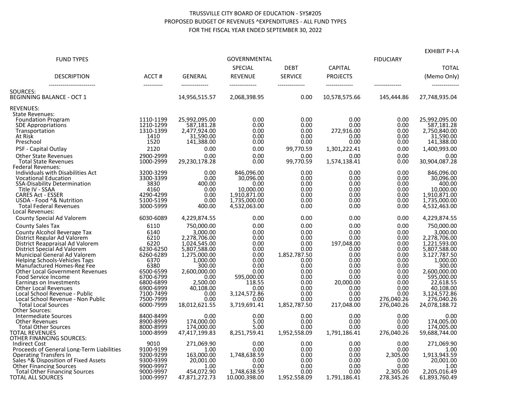#### TRUSSVILLE CITY BOARD OF EDUCATION - SYS#205 PROPOSED BUDGET OF REVENUES ^EXPENDITURES - ALL FUND TYPES FOR THE FISCAL YEAR ENDED SEPTEMBER 30, 2022

|                                                                   |                        |                                  | GOVERNMENTAL                     |                                  |                                   |                  | LAIIIDII FTA                  |
|-------------------------------------------------------------------|------------------------|----------------------------------|----------------------------------|----------------------------------|-----------------------------------|------------------|-------------------------------|
| <b>FUND TYPES</b>                                                 |                        |                                  |                                  |                                  |                                   | <b>FIDUCIARY</b> |                               |
|                                                                   |                        |                                  | SPECIAL                          | <b>DEBT</b>                      | <b>CAPITAL</b>                    |                  | <b>TOTAL</b>                  |
| <b>DESCRIPTION</b><br>-------------------------                   | ACCT#<br>-----------   | <b>GENERAL</b><br>-------------- | <b>REVENUE</b><br>-------------- | <b>SERVICE</b><br>-------------- | <b>PROJECTS</b><br>-------------- | --------------   | (Memo Only)<br>-------------- |
| SOURCES:                                                          |                        |                                  |                                  |                                  |                                   |                  |                               |
| <b>BEGINNING BALANCE - OCT 1</b>                                  |                        | 14,956,515.57                    | 2,068,398.95                     | 0.00                             | 10,578,575.66                     | 145,444.86       | 27,748,935.04                 |
| <b>REVENUES:</b>                                                  |                        |                                  |                                  |                                  |                                   |                  |                               |
| State Revenues:<br><b>Foundation Program</b>                      | 1110-1199              | 25,992,095.00                    | 0.00                             | 0.00                             | 0.00                              | 0.00             | 25,992,095.00                 |
| <b>SDE Appropriations</b>                                         | 1210-1299              | 587,181.28                       | 0.00                             | 0.00                             | 0.00                              | 0.00             | 587,181.28                    |
| Transportation                                                    | 1310-1399              | 2.477.924.00                     | 0.00                             | 0.00                             | 272,916.00                        | 0.00             | 2,750,840.00                  |
| At Risk                                                           | 1410                   | 31,590.00                        | 0.00                             | 0.00                             | 0.00                              | 0.00             | 31,590.00                     |
| Preschool                                                         | 1520                   | 141,388.00                       | 0.00                             | 0.00                             | 0.00                              | 0.00             | 141,388.00                    |
| PSF - Capital Outlay                                              | 2120                   | 0.00                             | 0.00                             | 99,770.59                        | 1,301,222.41                      | 0.00             | 1,400,993.00                  |
| <b>Other State Revenues</b>                                       | 2900-2999              | 0.00                             | 0.00                             | 0.00                             | 0.00                              | 0.00             | 0.00                          |
| <b>Total State Revenues</b>                                       | 1000-2999              | 29,230,178.28                    | 0.00                             | 99,770.59                        | 1,574,138.41                      | 0.00             | 30,904,087.28                 |
| Federal Revenues:                                                 |                        |                                  |                                  |                                  |                                   |                  |                               |
| Individuals with Disabilities Act                                 | 3200-3299              | 0.00                             | 846,096.00                       | 0.00                             | 0.00                              | 0.00             | 846,096.00                    |
| <b>Vocational Education</b>                                       | 3300-3399              | 0.00                             | 30.096.00                        | 0.00                             | 0.00                              | 0.00             | 30,096.00                     |
| SSA-Disability Determination                                      | 3830                   | 400.00                           | 0.00                             | 0.00                             | 0.00                              | 0.00             | 400.00                        |
| Title IV - SSAA                                                   | 4160                   | 0.00                             | 10,000.00                        | 0.00                             | 0.00                              | 0.00             | 10,000.00                     |
| <b>CARES Act - ESSER</b>                                          | 4290-4299              | 0.00                             | 1,910,871.00                     | 0.00                             | 0.00                              | 0.00             | 1,910,871.00                  |
| USDA - Food ^& Nutrition                                          | 5100-5199              | 0.00                             | 1,735,000.00                     | 0.00                             | 0.00                              | 0.00             | 1,735,000.00                  |
| <b>Total Federal Revenues</b>                                     | 3000-5999              | 400.00                           | 4,532,063.00                     | 0.00                             | 0.00                              | 0.00             | 4,532,463.00                  |
| Local Revenues:                                                   |                        |                                  |                                  |                                  |                                   |                  |                               |
| County Special Ad Valorem                                         | 6030-6089              | 4,229,874.55                     | 0.00                             | 0.00                             | 0.00                              | 0.00             | 4,229,874.55                  |
| <b>County Sales Tax</b>                                           | 6110                   | 750,000.00                       | 0.00                             | 0.00                             | 0.00                              | 0.00             | 750,000.00                    |
| County Alcohol Beverage Tax                                       | 6140                   | 3,000.00                         | 0.00                             | 0.00                             | 0.00                              | 0.00             | 3,000.00                      |
| District Regular Ad Valorem                                       | 6210                   | 2.278.706.00                     | 0.00                             | 0.00                             | 0.00                              | 0.00             | 2,278,706.00                  |
| District Reappraisal Ad Valorem                                   | 6220                   | 1,024,545.00                     | 0.00                             | 0.00                             | 197,048.00                        | 0.00             | 1,221,593.00                  |
| District Special Ad Valorem                                       | 6230-6250              | 5,807,588.00                     | 0.00                             | 0.00                             | 0.00                              | 0.00             | 5,807,588.00                  |
| Municipal General Ad Valorem                                      | 6260-6289              | 1,275,000.00                     | 0.00                             | 1,852,787.50                     | 0.00                              | 0.00             | 3,127,787.50                  |
| Helping Schools-Vehicles Tags                                     | 6370                   | 1,000.00                         | 0.00                             | 0.00                             | 0.00                              | 0.00             | 1,000.00                      |
| Manufactured Homes-Reg Fee                                        | 6380                   | 300.00                           | 0.00                             | 0.00                             | 0.00                              | 0.00             | 300.00                        |
| <b>Other Local Government Revenues</b>                            | 6500-6599<br>6700-6799 | 2,600,000.00<br>0.00             | 0.00<br>595,000.00               | 0.00<br>0.00                     | 0.00<br>0.00                      | 0.00<br>0.00     | 2,600,000.00<br>595,000.00    |
| Food Service Income<br>Earnings on Investments                    | 6800-6899              | 2,500.00                         | 118.55                           | 0.00                             | 20,000.00                         | 0.00             | 22,618.55                     |
| <b>Other Local Revenues</b>                                       | 6900-6999              | 40,108.00                        | 0.00                             | 0.00                             | 0.00                              | 0.00             | 40,108.00                     |
| Local School Revenue - Public                                     | 7100-7499              | 0.00                             | 3.124.572.86                     | 0.00                             | 0.00                              | 0.00             | 3.124.572.86                  |
| Local School Revenue - Non Public                                 | 7500-7999              | 0.00                             | 0.00                             | 0.00                             | 0.00                              | 276.040.26       | 276,040.26                    |
| <b>Total Local Sources</b>                                        | 6000-7999              | 18,012,621.55                    | 3,719,691.41                     | 1,852,787.50                     | 217,048.00                        | 276,040.26       | 24,078,188.72                 |
| Other Sources:                                                    |                        |                                  |                                  |                                  |                                   |                  |                               |
| <b>Intermediate Sources</b>                                       | 8400-8499              | 0.00                             | 0.00                             | 0.00                             | 0.00                              | 0.00             | 0.00                          |
| <b>Other Revenues</b>                                             | 8900-8999              | 174.000.00                       | 5.00                             | 0.00                             | 0.00                              | 0.00             | 174.005.00                    |
| <b>Total Other Sources</b>                                        | 8000-8999              | 174.000.00                       | 5.00                             | 0.00                             | 0.00                              | 0.00             | 174.005.00                    |
| <b>TOTAL REVENUES</b>                                             | 1000-8999              | 47,417,199.83                    | 8,251,759.41                     | 1,952,558.09                     | 1,791,186.41                      | 276,040.26       | 59,688,744.00                 |
| OTHER FINANCING SOURCES:                                          |                        |                                  |                                  |                                  |                                   |                  |                               |
| <b>Indirect Cost</b><br>Proceeds of General Long-Term Liabilities | 9010<br>9100-9199      | 271,069.90<br>1.00               | 0.00<br>0.00                     | 0.00<br>0.00                     | 0.00<br>0.00                      | 0.00<br>0.00     | 271.069.90<br>1.00            |
| <b>Operating Transfers In</b>                                     | 9200-9299              | 163,000.00                       | 1,748,638.59                     | 0.00                             | 0.00                              | 2,305.00         | 1,913,943.59                  |
| Sales ^& Disposition of Fixed Assets                              | 9300-9399              | 20,001.00                        | 0.00                             | 0.00                             | 0.00                              | 0.00             | 20.001.00                     |
| <b>Other Financing Sources</b>                                    | 9900-9997              | 1.00                             | 0.00                             | 0.00                             | 0.00                              | 0.00             | 1.00                          |
| <b>Total Other Financing Sources</b>                              | 9000-9997              | 454,072.90                       | 1,748,638.59                     | 0.00                             | 0.00                              | 2,305.00         | 2,205,016.49                  |
| <b>TOTAL ALL SOURCES</b>                                          | 1000-9997              | 47.871.272.73                    | 10.000.398.00                    | 1.952.558.09                     | 1.791.186.41                      | 278.345.26       | 61.893.760.49                 |

EXHIBIT P-I-A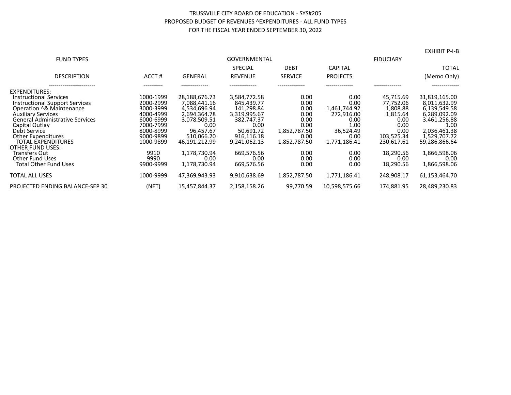#### TRUSSVILLE CITY BOARD OF EDUCATION - SYS#205 PROPOSED BUDGET OF REVENUES ^EXPENDITURES - ALL FUND TYPES FOR THE FISCAL YEAR ENDED SEPTEMBER 30, 2022

| <b>FUND TYPES</b>                      |           | <b>GOVERNMENTAL</b> |                |                |                 |            |               |
|----------------------------------------|-----------|---------------------|----------------|----------------|-----------------|------------|---------------|
|                                        |           |                     | <b>SPECIAL</b> | <b>DEBT</b>    | <b>CAPITAL</b>  |            | <b>TOTAL</b>  |
| <b>DESCRIPTION</b>                     | ACCT#     | <b>GENERAL</b>      | <b>REVENUE</b> | <b>SERVICE</b> | <b>PROJECTS</b> |            | (Memo Only)   |
| EXPENDITURES:                          |           |                     |                |                |                 |            | ------------- |
| Instructional Services                 | 1000-1999 | 28.188.676.73       | 3.584.772.58   | 0.00           | 0.00            | 45,715.69  | 31,819,165.00 |
| Instructional Support Services         | 2000-2999 | 7.088.441.16        | 845.439.77     | 0.00           | 0.00            | 77.752.06  | 8.011.632.99  |
| Operation ^& Maintenance               | 3000-3999 | 4.534.696.94        | 141.298.84     | 0.00           | 1,461,744.92    | 1.808.88   | 6.139.549.58  |
| <b>Auxiliary Services</b>              | 4000-4999 | 2,694,364.78        | 3,319,995.67   | 0.00           | 272,916.00      | 1,815.64   | 6,289,092.09  |
| <b>General Administrative Services</b> | 6000-6999 | 3.078.509.51        | 382.747.37     | 0.00           | 0.00            | 0.00       | 3,461,256.88  |
| Capital Outlay                         | 7000-7999 | 0.00                | 0.00           | 0.00           | 1.00            | 0.00       | 1.00          |
| Debt Service                           | 8000-8999 | 96.457.67           | 50.691.72      | 1.852.787.50   | 36.524.49       | 0.00       | 2.036.461.38  |
| <b>Other Expenditures</b>              | 9000-9899 | 510.066.20          | 916.116.18     | 0.00           | 0.00            | 103.525.34 | 1.529.707.72  |
| <b>TOTAL EXPENDITURES</b>              | 1000-9899 | 46.191.212.99       | 9,241,062.13   | 1,852,787.50   | 1.771.186.41    | 230,617.61 | 59.286.866.64 |
| <b>OTHER FUND USES:</b>                |           |                     |                |                |                 |            |               |
| <b>Transfers Out</b>                   | 9910      | 1.178.730.94        | 669.576.56     | 0.00           | 0.00            | 18.290.56  | 1.866.598.06  |
| Other Fund Uses                        | 9990      | 0.00                | 0.00           | 0.00           | 0.00            | 0.00       | 0.00          |
| <b>Total Other Fund Uses</b>           | 9900-9999 | 1.178.730.94        | 669.576.56     | 0.00           | 0.00            | 18,290.56  | 1.866.598.06  |
| <b>TOTAL ALL USES</b>                  | 1000-9999 | 47.369.943.93       | 9.910.638.69   | 1.852.787.50   | 1.771.186.41    | 248.908.17 | 61.153.464.70 |
| PROJECTED ENDING BALANCE-SEP 30        | (NET)     | 15,457,844.37       | 2,158,158.26   | 99,770.59      | 10,598,575.66   | 174,881.95 | 28,489,230.83 |

EXHIBIT P-I-B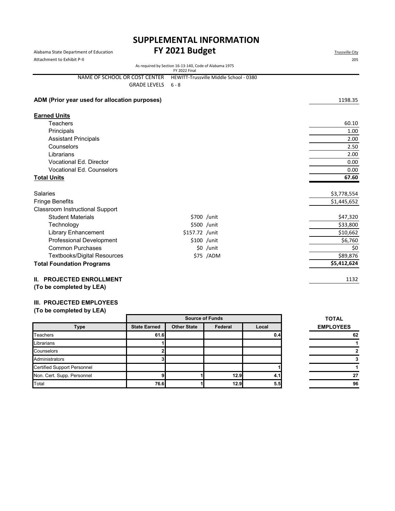### Alabama State Department of Education **FY 2021 Budget** Alabama State Department of Education **SUPPLEMENTAL INFORMATION**

| Attachment to Exhibit P-II                    |                                                                         |                                        | 205         |
|-----------------------------------------------|-------------------------------------------------------------------------|----------------------------------------|-------------|
|                                               | As required by Section 16-13-140, Code of Alabama 1975<br>FY 2022 Final |                                        |             |
| NAME OF SCHOOL OR COST CENTER                 |                                                                         | HEWITT-Trussville Middle School - 0380 |             |
| <b>GRADE LEVELS</b>                           | $6 - 8$                                                                 |                                        |             |
|                                               |                                                                         |                                        |             |
| ADM (Prior year used for allocation purposes) |                                                                         |                                        | 1198.35     |
|                                               |                                                                         |                                        |             |
| <b>Earned Units</b>                           |                                                                         |                                        |             |
| Teachers                                      |                                                                         |                                        | 60.10       |
| Principals                                    |                                                                         |                                        | 1.00        |
| <b>Assistant Principals</b>                   |                                                                         |                                        | 2.00        |
| Counselors                                    |                                                                         |                                        | 2.50        |
| Librarians                                    |                                                                         |                                        | 2.00        |
| Vocational Ed. Director                       |                                                                         |                                        | 0.00        |
| <b>Vocational Ed. Counselors</b>              |                                                                         |                                        | 0.00        |
| <b>Total Units</b>                            |                                                                         |                                        | 67.60       |
|                                               |                                                                         |                                        |             |
| <b>Salaries</b>                               |                                                                         |                                        | \$3,778,554 |
| <b>Fringe Benefits</b>                        |                                                                         |                                        | \$1,445,652 |
| <b>Classroom Instructional Support</b>        |                                                                         |                                        |             |
| <b>Student Materials</b>                      |                                                                         | \$700 /unit                            | \$47,320    |
| Technology                                    |                                                                         | \$500 /unit                            | \$33,800    |
| Library Enhancement                           | \$157.72 /unit                                                          |                                        | \$10,662    |
| <b>Professional Development</b>               |                                                                         | \$100 /unit                            | \$6,760     |
| <b>Common Purchases</b>                       |                                                                         | $$0$ /unit                             | \$0         |
| <b>Textbooks/Digital Resources</b>            |                                                                         | \$75 /ADM                              | \$89,876    |
| <b>Total Foundation Programs</b>              |                                                                         |                                        | \$5,412,624 |
|                                               |                                                                         |                                        |             |
| <b>II. PROJECTED ENROLLMENT</b>               |                                                                         |                                        | 1132        |
|                                               |                                                                         |                                        |             |

**(To be completed by LEA)**

#### **III. PROJECTED EMPLOYEES**

|                                    |                     | <b>Source of Funds</b>                 | <b>TOTAL</b> |     |                  |
|------------------------------------|---------------------|----------------------------------------|--------------|-----|------------------|
| <b>Type</b>                        | <b>State Earned</b> | <b>Other State</b><br>Federal<br>Local |              |     | <b>EMPLOYEES</b> |
| <b>Teachers</b>                    | 61.6                |                                        |              | 0.4 | 62               |
| Librarians                         |                     |                                        |              |     |                  |
| Counselors                         |                     |                                        |              |     |                  |
| Administrators                     |                     |                                        |              |     |                  |
| <b>Certified Support Personnel</b> |                     |                                        |              |     |                  |
| Non. Cert. Supp. Personnel         |                     |                                        | 12.9         | 4.1 | 27               |
| Total                              | 76.6                |                                        | 12.9         | 5.5 | 96               |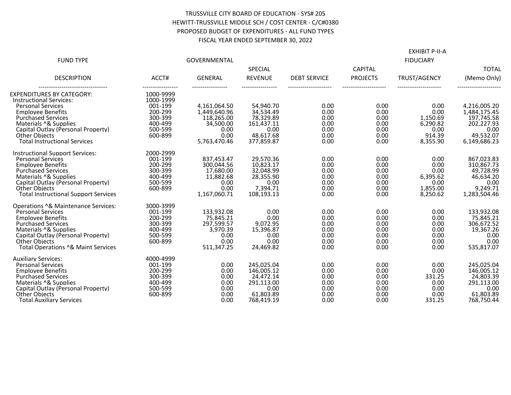#### TRUSSVILLE CITY BOARD OF EDUCATION - SYS# 205 HEWITT-TRUSSVILLE MIDDLE SCH / COST CENTER - C/C#0380 PROPOSED BUDGET OF EXPENDITURES - ALL FUND TYPES FISCAL YEAR ENDED SEPTEMBER 30, 2022

| <b>FUND TYPE</b>                                                                                                                                                                                                                                                               |                                                                                                               | <b>GOVERNMENTAL</b>                                                                     |                                                                                        |                                                      |                                                      | <b>EXHIBIT P-II-A</b><br><b>FIDUCIARY</b>                          |                                                                                                   |
|--------------------------------------------------------------------------------------------------------------------------------------------------------------------------------------------------------------------------------------------------------------------------------|---------------------------------------------------------------------------------------------------------------|-----------------------------------------------------------------------------------------|----------------------------------------------------------------------------------------|------------------------------------------------------|------------------------------------------------------|--------------------------------------------------------------------|---------------------------------------------------------------------------------------------------|
|                                                                                                                                                                                                                                                                                |                                                                                                               |                                                                                         | SPECIAL                                                                                |                                                      | <b>CAPITAL</b>                                       |                                                                    | <b>TOTAL</b>                                                                                      |
| <b>DESCRIPTION</b>                                                                                                                                                                                                                                                             | ACCT#                                                                                                         | <b>GENERAL</b>                                                                          | <b>REVENUE</b>                                                                         | <b>DEBT SERVICE</b>                                  | <b>PROJECTS</b>                                      | TRUST/AGENCY                                                       | (Memo Only)                                                                                       |
| EXPENDITURES BY CATEGORY:<br><b>Instructional Services:</b><br><b>Personal Services</b><br><b>Employee Benefits</b><br><b>Purchased Services</b><br>Materials ^& Supplies<br>Capital Outlay (Personal Property)<br><b>Other Objects</b><br><b>Total Instructional Services</b> | -----------------<br>1000-9999<br>1000-1999<br>001-199<br>200-299<br>300-399<br>400-499<br>500-599<br>600-899 | 4,161,064.50<br>1,449,640.96<br>118,265.00<br>34.500.00<br>0.00<br>0.00<br>5,763,470.46 | 54,940.70<br>34,534.49<br>78,329.89<br>161,437.11<br>0.00<br>48,617.68<br>377.859.87   | 0.00<br>0.00<br>0.00<br>0.00<br>0.00<br>0.00<br>0.00 | 0.00<br>0.00<br>0.00<br>0.00<br>0.00<br>0.00<br>0.00 | 0.00<br>0.00<br>1.150.69<br>6,290.82<br>0.00<br>914.39<br>8,355.90 | <br>4,216,005.20<br>1.484.175.45<br>197,745.58<br>202.227.93<br>0.00<br>49,532.07<br>6,149,686.23 |
| <b>Instructional Support Services:</b><br><b>Personal Services</b><br><b>Employee Benefits</b><br><b>Purchased Services</b><br>Materials ^& Supplies<br>Capital Outlay (Personal Property)<br><b>Other Objects</b><br><b>Total Instructional Support Services</b>              | 2000-2999<br>001-199<br>200-299<br>300-399<br>400-499<br>500-599<br>600-899                                   | 837,453.47<br>300,044.56<br>17,680.00<br>11,882.68<br>0.00<br>0.00<br>1,167,060.71      | 29,570.36<br>10,823.17<br>32,048.99<br>28,355.90<br>0.00<br>7,394.71<br>108,193.13     | 0.00<br>0.00<br>0.00<br>0.00<br>0.00<br>0.00<br>0.00 | 0.00<br>0.00<br>0.00<br>0.00<br>0.00<br>0.00<br>0.00 | 0.00<br>0.00<br>0.00<br>6,395.62<br>0.00<br>1,855.00<br>8,250.62   | 867,023.83<br>310,867.73<br>49,728.99<br>46,634.20<br>0.00<br>9,249.71<br>1,283,504.46            |
| Operations ^& Maintenance Services:<br><b>Personal Services</b><br><b>Employee Benefits</b><br><b>Purchased Services</b><br>Materials ^& Supplies<br>Capital Outlav (Personal Property)<br><b>Other Objects</b><br>Total Operations ^& Maint Services                          | 3000-3999<br>001-199<br>200-299<br>300-399<br>400-499<br>500-599<br>600-899                                   | 133,932.08<br>75,845.21<br>297,599.57<br>3,970.39<br>0.00<br>0.00<br>511,347.25         | 0.00<br>0.00<br>9,072.95<br>15,396.87<br>0.00<br>0.00<br>24.469.82                     | 0.00<br>0.00<br>0.00<br>0.00<br>0.00<br>0.00<br>0.00 | 0.00<br>0.00<br>0.00<br>0.00<br>0.00<br>0.00<br>0.00 | 0.00<br>0.00<br>0.00<br>0.00<br>0.00<br>0.00<br>0.00               | 133,932.08<br>75,845.21<br>306,672.52<br>19,367.26<br>0.00<br>0.00<br>535,817.07                  |
| <b>Auxiliary Services:</b><br><b>Personal Services</b><br><b>Emplovee Benefits</b><br><b>Purchased Services</b><br>Materials ^& Supplies<br>Capital Outlay (Personal Property)<br><b>Other Objects</b><br><b>Total Auxiliary Services</b>                                      | 4000-4999<br>001-199<br>200-299<br>300-399<br>400-499<br>500-599<br>600-899                                   | 0.00<br>0.00<br>0.00<br>0.00<br>0.00<br>0.00<br>0.00                                    | 245,025.04<br>146,005.12<br>24,472.14<br>291,113.00<br>0.00<br>61,803.89<br>768.419.19 | 0.00<br>0.00<br>0.00<br>0.00<br>0.00<br>0.00<br>0.00 | 0.00<br>0.00<br>0.00<br>0.00<br>0.00<br>0.00<br>0.00 | 0.00<br>0.00<br>331.25<br>0.00<br>0.00<br>0.00<br>331.25           | 245,025.04<br>146.005.12<br>24,803.39<br>291,113.00<br>0.00<br>61,803.89<br>768.750.44            |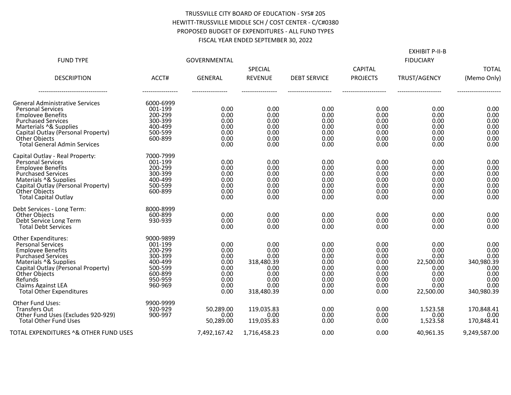#### TRUSSVILLE CITY BOARD OF EDUCATION - SYS# 205 HEWITT-TRUSSVILLE MIDDLE SCH / COST CENTER - C/C#0380 PROPOSED BUDGET OF EXPENDITURES - ALL FUND TYPES FISCAL YEAR ENDED SEPTEMBER 30, 2022

| <b>FUND TYPE</b>                                                                                                                                                                                                                                                           | GOVERNMENTAL                                                                                      |                                                                      |                                                                                  |                                                                      | <b>EXHIBIT P-II-B</b><br><b>FIDUCIARY</b>                            |                                                                                |                                                                                  |  |
|----------------------------------------------------------------------------------------------------------------------------------------------------------------------------------------------------------------------------------------------------------------------------|---------------------------------------------------------------------------------------------------|----------------------------------------------------------------------|----------------------------------------------------------------------------------|----------------------------------------------------------------------|----------------------------------------------------------------------|--------------------------------------------------------------------------------|----------------------------------------------------------------------------------|--|
| <b>DESCRIPTION</b>                                                                                                                                                                                                                                                         | ACCT#                                                                                             | <b>GENERAL</b>                                                       | SPECIAL<br><b>REVENUE</b>                                                        | <b>DEBT SERVICE</b>                                                  | <b>CAPITAL</b><br><b>PROJECTS</b>                                    | TRUST/AGENCY                                                                   | <b>TOTAL</b><br>(Memo Only)                                                      |  |
| <b>General Administrative Services</b><br><b>Personal Services</b><br><b>Employee Benefits</b><br><b>Purchased Services</b><br>Marterials ^& Supplies<br>Capital Outlay (Personal Property)<br><b>Other Objects</b><br><b>Total General Admin Services</b>                 | 6000-6999<br>001-199<br>200-299<br>300-399<br>400-499<br>500-599<br>600-899                       | 0.00<br>0.00<br>0.00<br>0.00<br>0.00<br>0.00<br>0.00                 | 0.00<br>0.00<br>0.00<br>0.00<br>0.00<br>0.00<br>0.00                             | 0.00<br>0.00<br>0.00<br>0.00<br>0.00<br>0.00<br>0.00                 | 0.00<br>0.00<br>0.00<br>0.00<br>0.00<br>0.00<br>0.00                 | 0.00<br>0.00<br>0.00<br>0.00<br>0.00<br>0.00<br>0.00                           | 0.00<br>0.00<br>0.00<br>0.00<br>0.00<br>0.00<br>0.00                             |  |
| Capital Outlay - Real Property:<br><b>Personal Services</b><br><b>Employee Benefits</b><br><b>Purchased Services</b><br>Materials ^& Supplies<br>Capital Outlay (Personal Property)<br><b>Other Objects</b><br><b>Total Capital Outlay</b>                                 | 7000-7999<br>001-199<br>200-299<br>300-399<br>400-499<br>500-599<br>600-899                       | 0.00<br>0.00<br>0.00<br>0.00<br>0.00<br>0.00<br>0.00                 | 0.00<br>0.00<br>0.00<br>0.00<br>0.00<br>0.00<br>0.00                             | 0.00<br>0.00<br>0.00<br>0.00<br>0.00<br>0.00<br>0.00                 | 0.00<br>0.00<br>0.00<br>0.00<br>0.00<br>0.00<br>0.00                 | 0.00<br>0.00<br>0.00<br>0.00<br>0.00<br>0.00<br>0.00                           | 0.00<br>0.00<br>0.00<br>0.00<br>0.00<br>0.00<br>0.00                             |  |
| Debt Services - Long Term:<br><b>Other Obiects</b><br>Debt Service Long Term<br><b>Total Debt Services</b>                                                                                                                                                                 | 8000-8999<br>600-899<br>930-939                                                                   | 0.00<br>0.00<br>0.00                                                 | 0.00<br>0.00<br>0.00                                                             | 0.00<br>0.00<br>0.00                                                 | 0.00<br>0.00<br>0.00                                                 | 0.00<br>0.00<br>0.00                                                           | 0.00<br>0.00<br>0.00                                                             |  |
| Other Expenditures:<br><b>Personal Services</b><br><b>Employee Benefits</b><br><b>Purchased Services</b><br>Materials ^& Supplies<br>Capital Outlay (Personal Property)<br><b>Other Objects</b><br>Refunds<br><b>Claims Against LEA</b><br><b>Total Other Expenditures</b> | 9000-9899<br>001-199<br>200-299<br>300-399<br>400-499<br>500-599<br>600-899<br>950-959<br>960-969 | 0.00<br>0.00<br>0.00<br>0.00<br>0.00<br>0.00<br>0.00<br>0.00<br>0.00 | 0.00<br>0.00<br>0.00<br>318,480.39<br>0.00<br>0.00<br>0.00<br>0.00<br>318,480.39 | 0.00<br>0.00<br>0.00<br>0.00<br>0.00<br>0.00<br>0.00<br>0.00<br>0.00 | 0.00<br>0.00<br>0.00<br>0.00<br>0.00<br>0.00<br>0.00<br>0.00<br>0.00 | 0.00<br>0.00<br>0.00<br>22,500.00<br>0.00<br>0.00<br>0.00<br>0.00<br>22,500.00 | 0.00<br>0.00<br>0.00<br>340,980.39<br>0.00<br>0.00<br>0.00<br>0.00<br>340,980.39 |  |
| <b>Other Fund Uses:</b><br><b>Transfers Out</b><br>Other Fund Uses (Excludes 920-929)<br><b>Total Other Fund Uses</b>                                                                                                                                                      | 9900-9999<br>920-929<br>900-997                                                                   | 50,289.00<br>0.00<br>50,289.00                                       | 119,035.83<br>0.00<br>119,035.83                                                 | 0.00<br>0.00<br>0.00                                                 | 0.00<br>0.00<br>0.00                                                 | 1,523.58<br>0.00<br>1,523.58                                                   | 170,848.41<br>0.00<br>170,848.41                                                 |  |
| TOTAL EXPENDITURES ^& OTHER FUND USES                                                                                                                                                                                                                                      |                                                                                                   | 7,492,167.42                                                         | 1,716,458.23                                                                     | 0.00                                                                 | 0.00                                                                 | 40,961.35                                                                      | 9,249,587.00                                                                     |  |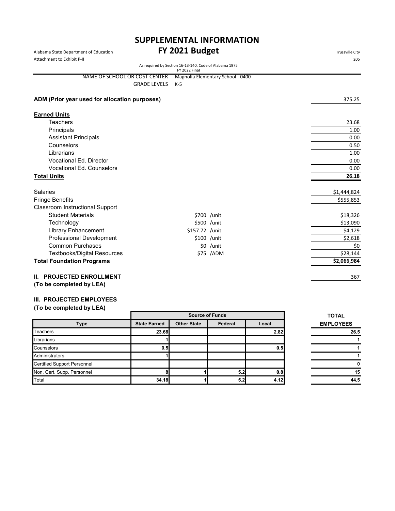# Alabama State Department of Education **FY 2021 Budget** Alabama State Department of Education **SUPPLEMENTAL INFORMATION**

| Attachment to Exhibit P-II                                     |                                                                         | 205         |
|----------------------------------------------------------------|-------------------------------------------------------------------------|-------------|
|                                                                | As required by Section 16-13-140, Code of Alabama 1975<br>FY 2022 Final |             |
| NAME OF SCHOOL OR COST CENTER                                  | Magnolia Elementary School - 0400                                       |             |
| <b>GRADE LEVELS</b>                                            | $K-5$                                                                   |             |
|                                                                |                                                                         |             |
| ADM (Prior year used for allocation purposes)                  |                                                                         | 375.25      |
| <b>Earned Units</b>                                            |                                                                         |             |
| <b>Teachers</b>                                                |                                                                         | 23.68       |
| Principals                                                     |                                                                         | 1.00        |
| <b>Assistant Principals</b>                                    |                                                                         | 0.00        |
| Counselors                                                     |                                                                         | 0.50        |
| Librarians                                                     |                                                                         | 1.00        |
| Vocational Ed. Director                                        |                                                                         | 0.00        |
| <b>Vocational Ed. Counselors</b>                               |                                                                         | 0.00        |
| <b>Total Units</b>                                             |                                                                         | 26.18       |
|                                                                |                                                                         |             |
| <b>Salaries</b>                                                |                                                                         | \$1,444,824 |
| <b>Fringe Benefits</b>                                         |                                                                         | \$555,853   |
| <b>Classroom Instructional Support</b>                         |                                                                         |             |
| <b>Student Materials</b>                                       | \$700 /unit                                                             | \$18,326    |
| Technology                                                     | \$500 /unit                                                             | \$13,090    |
| <b>Library Enhancement</b>                                     | \$157.72 /unit                                                          | \$4,129     |
| <b>Professional Development</b>                                | \$100 /unit                                                             | \$2,618     |
| <b>Common Purchases</b>                                        | \$0 /unit                                                               | \$0         |
| <b>Textbooks/Digital Resources</b>                             | \$75 /ADM                                                               | \$28,144    |
| <b>Total Foundation Programs</b>                               |                                                                         | \$2,066,984 |
| <b>PROJECTED ENROLLMENT</b><br>II.<br>(To be completed by LEA) |                                                                         | 367         |

#### **III. PROJECTED EMPLOYEES**

|                                    |                     | <b>Source of Funds</b> | <b>TOTAL</b> |       |                  |
|------------------------------------|---------------------|------------------------|--------------|-------|------------------|
| Type                               | <b>State Earned</b> | <b>Other State</b>     | Federal      | Local | <b>EMPLOYEES</b> |
| <b>Teachers</b>                    | 23.68               |                        |              | 2.82  | 26.5             |
| Librarians                         |                     |                        |              |       |                  |
| Counselors                         | 0.5                 |                        |              | 0.5   |                  |
| Administrators                     |                     |                        |              |       |                  |
| <b>Certified Support Personnel</b> |                     |                        |              |       |                  |
| Non. Cert. Supp. Personnel         |                     |                        | 5.2          | 0.8   | 15               |
| Total                              | 34.18               |                        | 5.2          | 4.12  | 44.5             |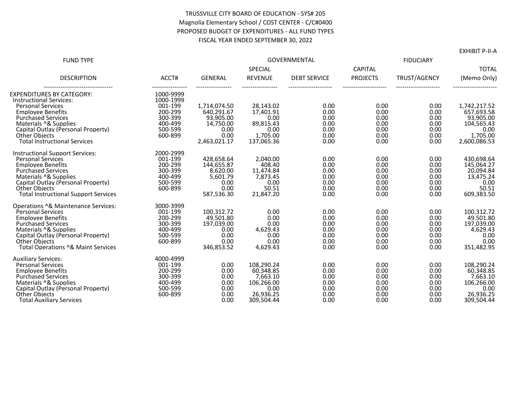#### TRUSSVILLE CITY BOARD OF EDUCATION - SYS# 205 Magnolia Elementary School / COST CENTER - C/C#0400 PROPOSED BUDGET OF EXPENDITURES - ALL FUND TYPES FISCAL YEAR ENDED SEPTEMBER 30, 2022

|                                                                |                    |                   |                        |                     |                 |              | LAI 11 DI 1 1 1 1 1 A  |
|----------------------------------------------------------------|--------------------|-------------------|------------------------|---------------------|-----------------|--------------|------------------------|
| <b>FUND TYPE</b>                                               |                    |                   | <b>GOVERNMENTAL</b>    |                     |                 |              |                        |
|                                                                |                    |                   | SPECIAL                |                     | <b>CAPITAL</b>  |              | <b>TOTAL</b>           |
| <b>DESCRIPTION</b>                                             | ACCT#              | <b>GENERAL</b>    | <b>REVENUE</b>         | <b>DEBT SERVICE</b> | <b>PROJECTS</b> | TRUST/AGENCY | (Memo Only)            |
| ---------------------------------<br>EXPENDITURES BY CATEGORY: | 1000-9999          |                   |                        |                     |                 |              |                        |
| <b>Instructional Services:</b>                                 | 1000-1999          |                   |                        |                     |                 |              |                        |
| <b>Personal Services</b>                                       | 001-199            | 1,714,074.50      | 28,143.02              | 0.00                | 0.00            | 0.00         | 1,742,217.52           |
| <b>Employee Benefits</b>                                       | 200-299            | 640,291.67        | 17,401.91              | 0.00                | 0.00            | 0.00         | 657,693.58             |
| <b>Purchased Services</b>                                      | 300-399            | 93,905.00         | 0.00                   | 0.00                | 0.00            | 0.00         | 93,905.00              |
| Materials ^& Supplies<br>Capital Outlay (Personal Property)    | 400-499<br>500-599 | 14,750.00<br>0.00 | 89.815.43<br>0.00      | 0.00<br>0.00        | 0.00<br>0.00    | 0.00<br>0.00 | 104,565.43<br>0.00     |
| <b>Other Objects</b>                                           | 600-899            | 0.00              | 1,705.00               | 0.00                | 0.00            | 0.00         | 1,705.00               |
| <b>Total Instructional Services</b>                            |                    | 2,463,021.17      | 137,065.36             | 0.00                | 0.00            | 0.00         | 2,600,086.53           |
| <b>Instructional Support Services:</b>                         | 2000-2999          |                   |                        |                     |                 |              |                        |
| <b>Personal Services</b>                                       | 001-199            | 428,658.64        | 2,040.00               | 0.00                | 0.00            | 0.00         | 430,698.64             |
| <b>Employee Benefits</b>                                       | 200-299            | 144,655.87        | 408.40                 | 0.00                | 0.00            | 0.00         | 145,064.27             |
| <b>Purchased Services</b>                                      | 300-399            | 8,620.00          | 11,474.84              | 0.00                | 0.00            | 0.00         | 20,094.84              |
| Materials ^& Supplies                                          | 400-499            | 5,601.79          | 7,873.45               | 0.00                | 0.00            | 0.00         | 13,475.24              |
| Capital Outlay (Personal Property)<br><b>Other Objects</b>     | 500-599<br>600-899 | 0.00<br>0.00      | 0.00<br>50.51          | 0.00<br>0.00        | 0.00<br>0.00    | 0.00<br>0.00 | 0.00<br>50.51          |
| <b>Total Instructional Support Services</b>                    |                    | 587.536.30        | 21,847.20              | 0.00                | 0.00            | 0.00         | 609,383.50             |
| Operations ^& Maintenance Services:                            | 3000-3999          |                   |                        |                     |                 |              |                        |
| <b>Personal Services</b>                                       | 001-199            | 100.312.72        | 0.00                   | 0.00                | 0.00            | 0.00         | 100.312.72             |
| <b>Employee Benefits</b>                                       | 200-299            | 49,501.80         | 0.00                   | 0.00                | 0.00            | 0.00         | 49,501.80              |
| <b>Purchased Services</b>                                      | 300-399            | 197,039.00        | 0.00                   | 0.00                | 0.00            | 0.00         | 197,039.00             |
| Materials ^& Supplies                                          | 400-499            | 0.00              | 4,629.43               | 0.00                | 0.00            | 0.00         | 4,629.43               |
| Capital Outlay (Personal Property)                             | 500-599            | 0.00              | 0.00                   | 0.00                | 0.00            | 0.00         | 0.00                   |
| <b>Other Objects</b><br>Total Operations ^& Maint Services     | 600-899            | 0.00              | 0.00                   | 0.00<br>0.00        | 0.00<br>0.00    | 0.00         | 0.00                   |
|                                                                |                    | 346,853.52        | 4.629.43               |                     |                 | 0.00         | 351,482.95             |
| <b>Auxiliary Services:</b>                                     | 4000-4999          |                   |                        |                     |                 |              |                        |
| <b>Personal Services</b>                                       | 001-199            | 0.00              | 108,290.24             | 0.00                | 0.00            | 0.00         | 108,290.24             |
| <b>Employee Benefits</b>                                       | 200-299<br>300-399 | 0.00              | 60,348.85              | 0.00                | 0.00            | 0.00         | 60,348.85              |
| <b>Purchased Services</b><br>Materials ^& Supplies             | 400-499            | 0.00<br>0.00      | 7,663.10<br>106,266.00 | 0.00<br>0.00        | 0.00<br>0.00    | 0.00<br>0.00 | 7,663.10<br>106,266.00 |
| Capital Outlay (Personal Property)                             | 500-599            | 0.00              | 0.00                   | 0.00                | 0.00            | 0.00         | 0.00                   |
| <b>Other Objects</b>                                           | 600-899            | 0.00              | 26,936.25              | 0.00                | 0.00            | 0.00         | 26,936.25              |
| <b>Total Auxiliary Services</b>                                |                    | 0.00              | 309,504.44             | 0.00                | 0.00            | 0.00         | 309,504.44             |

EXHIBIT P-II-A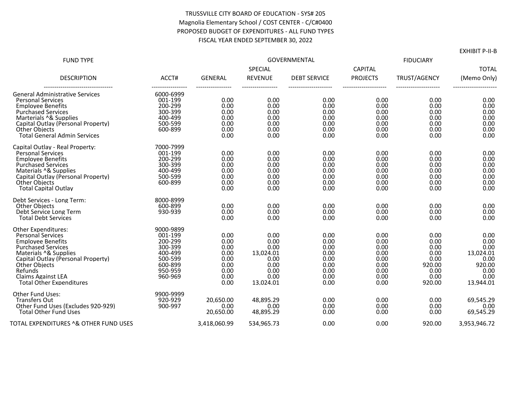#### TRUSSVILLE CITY BOARD OF EDUCATION - SYS# 205 Magnolia Elementary School / COST CENTER - C/C#0400 PROPOSED BUDGET OF EXPENDITURES - ALL FUND TYPES FISCAL YEAR ENDED SEPTEMBER 30, 2022

| <b>FUND TYPE</b>                                                                                                                                                                                                                                                                  |                                                                                                   | <b>GOVERNMENTAL</b>                                                  |                                                                                |                                                                      |                                                                      | <b>FIDUCIARY</b>                                                         |                                                                                  |  |
|-----------------------------------------------------------------------------------------------------------------------------------------------------------------------------------------------------------------------------------------------------------------------------------|---------------------------------------------------------------------------------------------------|----------------------------------------------------------------------|--------------------------------------------------------------------------------|----------------------------------------------------------------------|----------------------------------------------------------------------|--------------------------------------------------------------------------|----------------------------------------------------------------------------------|--|
|                                                                                                                                                                                                                                                                                   |                                                                                                   |                                                                      | SPECIAL                                                                        |                                                                      | <b>CAPITAL</b>                                                       |                                                                          | <b>TOTAL</b>                                                                     |  |
| <b>DESCRIPTION</b>                                                                                                                                                                                                                                                                | ACCT#                                                                                             | <b>GENERAL</b>                                                       | <b>REVENUE</b>                                                                 | <b>DEBT SERVICE</b>                                                  | <b>PROJECTS</b>                                                      | TRUST/AGENCY                                                             | (Memo Only)                                                                      |  |
| <b>General Administrative Services</b><br><b>Personal Services</b><br><b>Emplovee Benefits</b><br><b>Purchased Services</b><br>Marterials ^& Supplies<br>Capital Outlay (Personal Property)<br><b>Other Objects</b><br><b>Total General Admin Services</b>                        | 6000-6999<br>001-199<br>200-299<br>300-399<br>400-499<br>500-599<br>600-899                       | 0.00<br>0.00<br>0.00<br>0.00<br>0.00<br>0.00<br>0.00                 | 0.00<br>0.00<br>0.00<br>0.00<br>0.00<br>0.00<br>0.00                           | 0.00<br>0.00<br>0.00<br>0.00<br>0.00<br>0.00<br>0.00                 | 0.00<br>0.00<br>0.00<br>0.00<br>0.00<br>0.00<br>0.00                 | 0.00<br>0.00<br>0.00<br>0.00<br>0.00<br>0.00<br>0.00                     | 0.00<br>0.00<br>0.00<br>0.00<br>0.00<br>0.00<br>0.00                             |  |
| Capital Outlay - Real Property:<br><b>Personal Services</b><br><b>Employee Benefits</b><br><b>Purchased Services</b><br>Materials ^& Supplies<br>Capital Outlay (Personal Property)<br><b>Other Objects</b><br><b>Total Capital Outlay</b>                                        | 7000-7999<br>001-199<br>200-299<br>300-399<br>400-499<br>500-599<br>600-899                       | 0.00<br>0.00<br>0.00<br>0.00<br>0.00<br>0.00<br>0.00                 | 0.00<br>0.00<br>0.00<br>0.00<br>0.00<br>0.00<br>0.00                           | 0.00<br>0.00<br>0.00<br>0.00<br>0.00<br>0.00<br>0.00                 | 0.00<br>0.00<br>0.00<br>0.00<br>0.00<br>0.00<br>0.00                 | 0.00<br>0.00<br>0.00<br>0.00<br>0.00<br>0.00<br>0.00                     | 0.00<br>0.00<br>0.00<br>0.00<br>0.00<br>0.00<br>0.00                             |  |
| Debt Services - Long Term:<br>Other Objects<br>Debt Service Long Term<br><b>Total Debt Services</b>                                                                                                                                                                               | 8000-8999<br>600-899<br>930-939                                                                   | 0.00<br>0.00<br>0.00                                                 | 0.00<br>0.00<br>0.00                                                           | 0.00<br>0.00<br>0.00                                                 | 0.00<br>0.00<br>0.00                                                 | 0.00<br>0.00<br>0.00                                                     | 0.00<br>0.00<br>0.00                                                             |  |
| <b>Other Expenditures:</b><br><b>Personal Services</b><br><b>Employee Benefits</b><br><b>Purchased Services</b><br>Materials ^& Supplies<br>Capital Outlay (Personal Property)<br><b>Other Objects</b><br>Refunds<br><b>Claims Against LEA</b><br><b>Total Other Expenditures</b> | 9000-9899<br>001-199<br>200-299<br>300-399<br>400-499<br>500-599<br>600-899<br>950-959<br>960-969 | 0.00<br>0.00<br>0.00<br>0.00<br>0.00<br>0.00<br>0.00<br>0.00<br>0.00 | 0.00<br>0.00<br>0.00<br>13,024.01<br>0.00<br>0.00<br>0.00<br>0.00<br>13,024.01 | 0.00<br>0.00<br>0.00<br>0.00<br>0.00<br>0.00<br>0.00<br>0.00<br>0.00 | 0.00<br>0.00<br>0.00<br>0.00<br>0.00<br>0.00<br>0.00<br>0.00<br>0.00 | 0.00<br>0.00<br>0.00<br>0.00<br>0.00<br>920.00<br>0.00<br>0.00<br>920.00 | 0.00<br>0.00<br>0.00<br>13,024.01<br>0.00<br>920.00<br>0.00<br>0.00<br>13,944.01 |  |
| <b>Other Fund Uses:</b><br><b>Transfers Out</b><br>Other Fund Uses (Excludes 920-929)<br><b>Total Other Fund Uses</b>                                                                                                                                                             | 9900-9999<br>920-929<br>900-997                                                                   | 20.650.00<br>0.00<br>20.650.00                                       | 48.895.29<br>0.00<br>48,895.29                                                 | 0.00<br>0.00<br>0.00                                                 | 0.00<br>0.00<br>0.00                                                 | 0.00<br>0.00<br>0.00                                                     | 69,545.29<br>0.00<br>69.545.29                                                   |  |
| TOTAL EXPENDITURES ^& OTHER FUND USES                                                                                                                                                                                                                                             |                                                                                                   | 3,418,060.99                                                         | 534,965.73                                                                     | 0.00                                                                 | 0.00                                                                 | 920.00                                                                   | 3,953,946.72                                                                     |  |

EXHIBIT P-II-B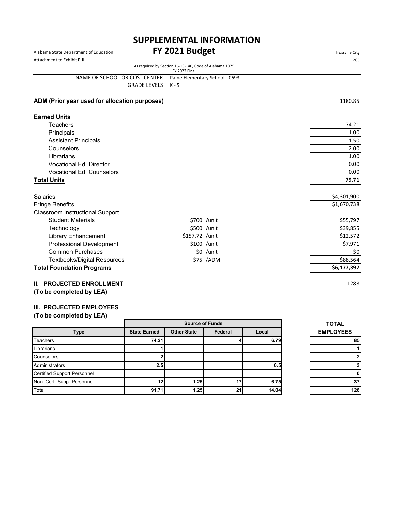# Alabama State Department of Education **FY 2021 Budget** Alabama State Department of Education **SUPPLEMENTAL INFORMATION**

|                                                                                | 205         |  |  |  |  |
|--------------------------------------------------------------------------------|-------------|--|--|--|--|
| As required by Section 16-13-140, Code of Alabama 1975<br><b>FY 2022 Final</b> |             |  |  |  |  |
| Paine Elementary School - 0693                                                 |             |  |  |  |  |
| $K - 5$                                                                        |             |  |  |  |  |
|                                                                                | 1180.85     |  |  |  |  |
|                                                                                |             |  |  |  |  |
|                                                                                | 74.21       |  |  |  |  |
|                                                                                | 1.00        |  |  |  |  |
|                                                                                | 1.50        |  |  |  |  |
|                                                                                | 2.00        |  |  |  |  |
|                                                                                | 1.00        |  |  |  |  |
|                                                                                | 0.00        |  |  |  |  |
|                                                                                | 0.00        |  |  |  |  |
|                                                                                | 79.71       |  |  |  |  |
|                                                                                | \$4,301,900 |  |  |  |  |
|                                                                                | \$1,670,738 |  |  |  |  |
|                                                                                |             |  |  |  |  |
| \$700 /unit                                                                    | \$55,797    |  |  |  |  |
| \$500 /unit                                                                    | \$39,855    |  |  |  |  |
| \$157.72 /unit                                                                 | \$12,572    |  |  |  |  |
| \$100 /unit                                                                    | \$7,971     |  |  |  |  |
| \$0 /unit                                                                      | \$0         |  |  |  |  |
| \$75 /ADM                                                                      | \$88,564    |  |  |  |  |
|                                                                                | \$6,177,397 |  |  |  |  |
|                                                                                | 1288        |  |  |  |  |
|                                                                                |             |  |  |  |  |

#### **III. PROJECTED EMPLOYEES**

|                                    |                     | <b>Source of Funds</b> | <b>TOTAL</b> |       |                  |
|------------------------------------|---------------------|------------------------|--------------|-------|------------------|
| <b>Type</b>                        | <b>State Earned</b> | <b>Other State</b>     | Federal      | Local | <b>EMPLOYEES</b> |
| Teachers                           | 74.21               |                        |              | 6.79  | 85               |
| Librarians                         |                     |                        |              |       |                  |
| Counselors                         |                     |                        |              |       |                  |
| Administrators                     | 2.5                 |                        |              | 0.5   |                  |
| <b>Certified Support Personnel</b> |                     |                        |              |       |                  |
| Non. Cert. Supp. Personnel         | 12                  | 1.25                   | 17           | 6.75  | 37               |
| Total                              | 91.71               | 1.25                   | 211          | 14.04 | 128              |

| TOTAL            |             |
|------------------|-------------|
| <b>EMPLOYEES</b> |             |
|                  | 85          |
|                  |             |
|                  | $\mathbf 2$ |
|                  | 3           |
|                  | 0           |
|                  | 37          |
|                  | 128         |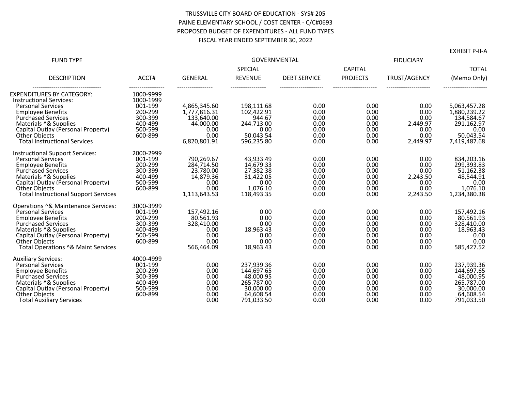#### TRUSSVILLE CITY BOARD OF EDUCATION - SYS# 205 PAINE ELEMENTARY SCHOOL / COST CENTER - C/C#0693 PROPOSED BUDGET OF EXPENDITURES - ALL FUND TYPES FISCAL YEAR ENDED SEPTEMBER 30, 2022

| <b>FUND TYPE</b>                                                    |                        | <b>GOVERNMENTAL</b>          |                          |                     |                 |              |                              |  |
|---------------------------------------------------------------------|------------------------|------------------------------|--------------------------|---------------------|-----------------|--------------|------------------------------|--|
|                                                                     |                        |                              | SPECIAL                  |                     |                 |              | <b>TOTAL</b>                 |  |
| <b>DESCRIPTION</b>                                                  | ACCT#                  | <b>GENERAL</b>               | <b>REVENUE</b>           | <b>DEBT SERVICE</b> | <b>PROJECTS</b> | TRUST/AGENCY | (Memo Only)                  |  |
| <b>EXPENDITURES BY CATEGORY:</b><br><b>Instructional Services:</b>  | 1000-9999<br>1000-1999 |                              |                          |                     |                 |              |                              |  |
| <b>Personal Services</b><br><b>Employee Benefits</b>                | 001-199<br>200-299     | 4.865.345.60<br>1.777.816.31 | 198.111.68<br>102.422.91 | 0.00<br>0.00        | 0.00<br>0.00    | 0.00<br>0.00 | 5.063.457.28<br>1.880.239.22 |  |
| <b>Purchased Services</b>                                           | 300-399                | 133,640.00                   | 944.67                   | 0.00                | 0.00            | 0.00         | 134,584.67                   |  |
| Materials ^& Supplies                                               | 400-499                | 44.000.00                    | 244,713.00               | 0.00                | 0.00            | 2.449.97     | 291,162.97                   |  |
| Capital Outlay (Personal Property)<br><b>Other Objects</b>          | 500-599<br>600-899     | 0.00<br>0.00                 | 0.00<br>50,043.54        | 0.00<br>0.00        | 0.00<br>0.00    | 0.00<br>0.00 | 0.00<br>50,043.54            |  |
| <b>Total Instructional Services</b>                                 |                        | 6.820.801.91                 | 596.235.80               | 0.00                | 0.00            | 2.449.97     | 7.419.487.68                 |  |
| <b>Instructional Support Services:</b>                              | 2000-2999              |                              |                          |                     |                 |              |                              |  |
| <b>Personal Services</b>                                            | 001-199<br>200-299     | 790.269.67                   | 43.933.49                | 0.00<br>0.00        | 0.00<br>0.00    | 0.00<br>0.00 | 834.203.16<br>299,393.83     |  |
| <b>Employee Benefits</b><br><b>Purchased Services</b>               | 300-399                | 284,714.50<br>23,780.00      | 14,679.33<br>27,382.38   | 0.00                | 0.00            | 0.00         | 51,162.38                    |  |
| Materials ^& Supplies                                               | 400-499                | 14,879.36                    | 31,422.05                | 0.00                | 0.00            | 2,243.50     | 48,544.91                    |  |
| Capital Outlay (Personal Property)                                  | 500-599                | 0.00                         | 0.00                     | 0.00                | 0.00            | 0.00         | 0.00                         |  |
| <b>Other Objects</b><br><b>Total Instructional Support Services</b> | 600-899                | 0.00                         | 1,076.10                 | 0.00                | 0.00            | 0.00         | 1,076.10                     |  |
|                                                                     |                        | 1,113,643.53                 | 118,493.35               | 0.00                | 0.00            | 2,243.50     | 1,234,380.38                 |  |
| Operations ^& Maintenance Services:                                 | 3000-3999              |                              |                          |                     |                 |              |                              |  |
| <b>Personal Services</b><br><b>Employee Benefits</b>                | 001-199<br>200-299     | 157,492.16<br>80,561.93      | 0.00<br>0.00             | 0.00<br>0.00        | 0.00<br>0.00    | 0.00<br>0.00 | 157,492.16<br>80,561.93      |  |
| <b>Purchased Services</b>                                           | 300-399                | 328.410.00                   | 0.00                     | 0.00                | 0.00            | 0.00         | 328,410.00                   |  |
| Materials ^& Supplies                                               | 400-499                | 0.00                         | 18,963.43                | 0.00                | 0.00            | 0.00         | 18,963.43                    |  |
| Capital Outlav (Personal Property)                                  | 500-599                | 0.00                         | 0.00                     | 0.00                | 0.00            | 0.00         | 0.00                         |  |
| <b>Other Objects</b>                                                | 600-899                | 0.00                         | 0.00                     | 0.00                | 0.00            | 0.00         | 0.00                         |  |
| Total Operations ^& Maint Services                                  |                        | 566,464.09                   | 18.963.43                | 0.00                | 0.00            | 0.00         | 585.427.52                   |  |
| <b>Auxiliary Services:</b>                                          | 4000-4999              |                              |                          |                     |                 |              |                              |  |
| <b>Personal Services</b>                                            | 001-199                | 0.00                         | 237,939.36               | 0.00                | 0.00            | 0.00         | 237,939.36                   |  |
| <b>Employee Benefits</b><br><b>Purchased Services</b>               | 200-299<br>300-399     | 0.00<br>0.00                 | 144,697.65<br>48,000.95  | 0.00<br>0.00        | 0.00<br>0.00    | 0.00<br>0.00 | 144,697.65<br>48,000.95      |  |
| Materials ^& Supplies                                               | 400-499                | 0.00                         | 265,787.00               | 0.00                | 0.00            | 0.00         | 265,787.00                   |  |
| Capital Outlay (Personal Property)                                  | 500-599                | 0.00                         | 30,000.00                | 0.00                | 0.00            | 0.00         | 30,000.00                    |  |
| <b>Other Objects</b>                                                | 600-899                | 0.00                         | 64,608.54                | 0.00                | 0.00            | 0.00         | 64,608.54                    |  |
| <b>Total Auxiliary Services</b>                                     |                        | 0.00                         | 791.033.50               | 0.00                | 0.00            | 0.00         | 791.033.50                   |  |

EXHIBIT P-II-A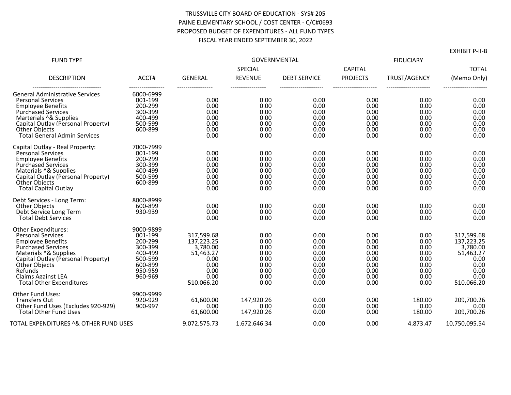#### TRUSSVILLE CITY BOARD OF EDUCATION - SYS# 205 PAINE ELEMENTARY SCHOOL / COST CENTER - C/C#0693 PROPOSED BUDGET OF EXPENDITURES - ALL FUND TYPES FISCAL YEAR ENDED SEPTEMBER 30, 2022

| <b>FUND TYPE</b>                                                                                                                                                                                                                                                                  |                                                                                                   | GOVERNMENTAL<br>SPECIAL                                                                         |                                                                      |                                                                      | <b>CAPITAL</b>                                                       | <b>TOTAL</b>                                                         |                                                                                                 |
|-----------------------------------------------------------------------------------------------------------------------------------------------------------------------------------------------------------------------------------------------------------------------------------|---------------------------------------------------------------------------------------------------|-------------------------------------------------------------------------------------------------|----------------------------------------------------------------------|----------------------------------------------------------------------|----------------------------------------------------------------------|----------------------------------------------------------------------|-------------------------------------------------------------------------------------------------|
| <b>DESCRIPTION</b>                                                                                                                                                                                                                                                                | ACCT#                                                                                             | <b>GENERAL</b>                                                                                  | <b>REVENUE</b>                                                       | <b>DEBT SERVICE</b>                                                  | <b>PROJECTS</b>                                                      | TRUST/AGENCY                                                         | (Memo Only)                                                                                     |
| <b>General Administrative Services</b><br><b>Personal Services</b><br><b>Employee Benefits</b><br><b>Purchased Services</b><br>Marterials ^& Supplies<br>Capital Outlay (Personal Property)<br><b>Other Objects</b><br><b>Total General Admin Services</b>                        | 6000-6999<br>001-199<br>200-299<br>300-399<br>400-499<br>500-599<br>600-899                       | 0.00<br>0.00<br>0.00<br>0.00<br>0.00<br>0.00<br>0.00                                            | 0.00<br>0.00<br>0.00<br>0.00<br>0.00<br>0.00<br>0.00                 | 0.00<br>0.00<br>0.00<br>0.00<br>0.00<br>0.00<br>0.00                 | 0.00<br>0.00<br>0.00<br>0.00<br>0.00<br>0.00<br>0.00                 | 0.00<br>0.00<br>0.00<br>0.00<br>0.00<br>0.00<br>0.00                 | 0.00<br>0.00<br>0.00<br>0.00<br>0.00<br>0.00<br>0.00                                            |
| Capital Outlay - Real Property:<br><b>Personal Services</b><br><b>Employee Benefits</b><br><b>Purchased Services</b><br>Materials ^& Supplies<br>Capital Outlay (Personal Property)<br><b>Other Objects</b><br><b>Total Capital Outlav</b>                                        | 7000-7999<br>001-199<br>200-299<br>300-399<br>400-499<br>500-599<br>600-899                       | 0.00<br>0.00<br>0.00<br>0.00<br>0.00<br>0.00<br>0.00                                            | 0.00<br>0.00<br>0.00<br>0.00<br>0.00<br>0.00<br>0.00                 | 0.00<br>0.00<br>0.00<br>0.00<br>0.00<br>0.00<br>0.00                 | 0.00<br>0.00<br>0.00<br>0.00<br>0.00<br>0.00<br>0.00                 | 0.00<br>0.00<br>0.00<br>0.00<br>0.00<br>0.00<br>0.00                 | 0.00<br>0.00<br>0.00<br>0.00<br>0.00<br>0.00<br>0.00                                            |
| Debt Services - Long Term:<br><b>Other Objects</b><br>Debt Service Long Term<br><b>Total Debt Services</b>                                                                                                                                                                        | 8000-8999<br>600-899<br>930-939                                                                   | 0.00<br>0.00<br>0.00                                                                            | 0.00<br>0.00<br>0.00                                                 | 0.00<br>0.00<br>0.00                                                 | 0.00<br>0.00<br>0.00                                                 | 0.00<br>0.00<br>0.00                                                 | 0.00<br>0.00<br>0.00                                                                            |
| <b>Other Expenditures:</b><br><b>Personal Services</b><br><b>Employee Benefits</b><br><b>Purchased Services</b><br>Materials ^& Supplies<br>Capital Outlay (Personal Property)<br><b>Other Objects</b><br>Refunds<br><b>Claims Against LEA</b><br><b>Total Other Expenditures</b> | 9000-9899<br>001-199<br>200-299<br>300-399<br>400-499<br>500-599<br>600-899<br>950-959<br>960-969 | 317,599.68<br>137,223.25<br>3,780.00<br>51,463.27<br>0.00<br>0.00<br>0.00<br>0.00<br>510.066.20 | 0.00<br>0.00<br>0.00<br>0.00<br>0.00<br>0.00<br>0.00<br>0.00<br>0.00 | 0.00<br>0.00<br>0.00<br>0.00<br>0.00<br>0.00<br>0.00<br>0.00<br>0.00 | 0.00<br>0.00<br>0.00<br>0.00<br>0.00<br>0.00<br>0.00<br>0.00<br>0.00 | 0.00<br>0.00<br>0.00<br>0.00<br>0.00<br>0.00<br>0.00<br>0.00<br>0.00 | 317,599.68<br>137,223.25<br>3,780.00<br>51,463.27<br>0.00<br>0.00<br>0.00<br>0.00<br>510,066.20 |
| Other Fund Uses:<br><b>Transfers Out</b><br>Other Fund Uses (Excludes 920-929)<br><b>Total Other Fund Uses</b>                                                                                                                                                                    | 9900-9999<br>920-929<br>900-997                                                                   | 61,600.00<br>0.00<br>61,600.00                                                                  | 147,920.26<br>0.00<br>147,920.26                                     | 0.00<br>0.00<br>0.00                                                 | 0.00<br>0.00<br>0.00                                                 | 180.00<br>0.00<br>180.00                                             | 209,700.26<br>0.00<br>209,700.26                                                                |
| TOTAL EXPENDITURES ^& OTHER FUND USES                                                                                                                                                                                                                                             |                                                                                                   | 9,072,575.73                                                                                    | 1,672,646.34                                                         | 0.00                                                                 | 0.00                                                                 | 4,873.47                                                             | 10,750,095.54                                                                                   |

EXHIBIT P-II-B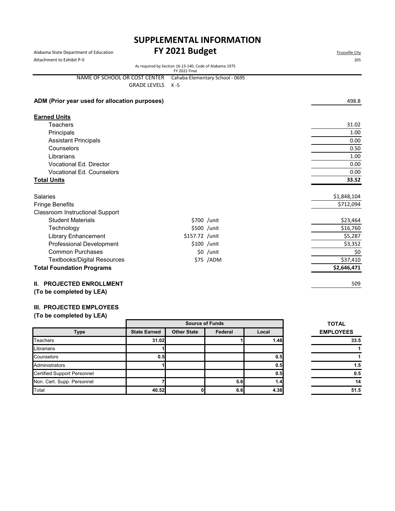# **SUPPLEMENTAL INFORMATION**

| Alabama State Department of Education<br>Attachment to Exhibit P-II |                     | FY 2021 Budget                                                          | <b>Trussville City</b><br>205   |             |
|---------------------------------------------------------------------|---------------------|-------------------------------------------------------------------------|---------------------------------|-------------|
|                                                                     |                     | As required by Section 16-13-140, Code of Alabama 1975<br>FY 2022 Final |                                 |             |
| NAME OF SCHOOL OR COST CENTER                                       |                     |                                                                         | Cahaba Elementary School - 0695 |             |
|                                                                     | <b>GRADE LEVELS</b> | K -5                                                                    |                                 |             |
| ADM (Prior year used for allocation purposes)                       |                     |                                                                         |                                 | 498.8       |
| <b>Earned Units</b>                                                 |                     |                                                                         |                                 |             |
| <b>Teachers</b>                                                     |                     |                                                                         |                                 | 31.02       |
| Principals                                                          |                     |                                                                         |                                 | 1.00        |
| <b>Assistant Principals</b>                                         |                     |                                                                         |                                 | 0.00        |
| Counselors                                                          |                     |                                                                         |                                 | 0.50        |
| Librarians                                                          |                     |                                                                         |                                 | 1.00        |
| <b>Vocational Ed. Director</b>                                      |                     |                                                                         |                                 | 0.00        |
| <b>Vocational Ed. Counselors</b>                                    |                     |                                                                         |                                 | 0.00        |
| <b>Total Units</b>                                                  |                     |                                                                         |                                 | 33.52       |
| <b>Salaries</b>                                                     |                     |                                                                         |                                 | \$1,848,104 |
| <b>Fringe Benefits</b>                                              |                     |                                                                         |                                 | \$712,094   |
| <b>Classroom Instructional Support</b>                              |                     |                                                                         |                                 |             |
| <b>Student Materials</b>                                            |                     |                                                                         | \$700 /unit                     | \$23,464    |
| Technology                                                          |                     |                                                                         | \$500 /unit                     | \$16,760    |
| <b>Library Enhancement</b>                                          |                     | \$157.72 /unit                                                          |                                 | \$5,287     |
| <b>Professional Development</b>                                     |                     |                                                                         | $$100$ /unit                    | \$3,352     |
| <b>Common Purchases</b>                                             |                     |                                                                         | $$0$ /unit                      | \$0         |
| <b>Textbooks/Digital Resources</b>                                  |                     |                                                                         | \$75 /ADM                       | \$37,410    |
| <b>Total Foundation Programs</b>                                    |                     |                                                                         |                                 | \$2,646,471 |
| <b>II. PROJECTED ENROLLMENT</b>                                     |                     |                                                                         |                                 | 509         |
| (To be completed by LEA)                                            |                     |                                                                         |                                 |             |

#### **III. PROJECTED EMPLOYEES**

|                                    |                     | <b>Source of Funds</b> | <b>TOTAL</b> |       |                  |
|------------------------------------|---------------------|------------------------|--------------|-------|------------------|
| <b>Type</b>                        | <b>State Earned</b> | <b>Other State</b>     | Federal      | Local | <b>EMPLOYEES</b> |
| <b>Teachers</b>                    | 31.02               |                        |              | 1.48  | 33.5             |
| Librarians                         |                     |                        |              |       |                  |
| Counselors                         | 0.5                 |                        |              | 0.5   |                  |
| Administrators                     |                     |                        |              | 0.5   | 1.5              |
| <b>Certified Support Personnel</b> |                     |                        |              | 0.5   | 0.5              |
| Non. Cert. Supp. Personnel         |                     |                        | 5.6          | 1.4   | 14               |
| Total                              | 40.52               |                        | 6.6          | 4.38  | 51.5             |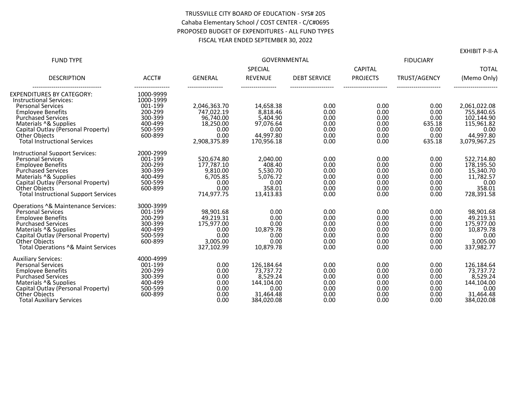#### TRUSSVILLE CITY BOARD OF EDUCATION - SYS# 205 Cahaba Elementary School / COST CENTER - C/C#0695 PROPOSED BUDGET OF EXPENDITURES - ALL FUND TYPES FISCAL YEAR ENDED SEPTEMBER 30, 2022

| <b>FUND TYPE</b>                                           |                    | <b>GOVERNMENTAL</b>        |                         |                     |                                   |              |                            |  |
|------------------------------------------------------------|--------------------|----------------------------|-------------------------|---------------------|-----------------------------------|--------------|----------------------------|--|
|                                                            |                    |                            | SPECIAL                 |                     |                                   |              | <b>TOTAL</b>               |  |
| <b>DESCRIPTION</b>                                         | ACCT#              | <b>GENERAL</b>             | <b>REVENUE</b>          | <b>DEBT SERVICE</b> | <b>CAPITAL</b><br><b>PROJECTS</b> | TRUST/AGENCY | (Memo Only)                |  |
| EXPENDITURES BY CATEGORY:                                  | 1000-9999          |                            |                         |                     |                                   |              |                            |  |
| <b>Instructional Services:</b>                             | 1000-1999          |                            |                         |                     |                                   |              |                            |  |
| <b>Personal Services</b>                                   | 001-199<br>200-299 | 2,046,363.70<br>747,022.19 | 14,658.38<br>8,818.46   | 0.00<br>0.00        | 0.00<br>0.00                      | 0.00<br>0.00 | 2,061,022.08<br>755,840.65 |  |
| <b>Employee Benefits</b><br><b>Purchased Services</b>      | 300-399            | 96,740.00                  | 5,404.90                | 0.00                | 0.00                              | 0.00         | 102,144.90                 |  |
| Materials ^& Supplies                                      | 400-499            | 18,250.00                  | 97,076.64               | 0.00                | 0.00                              | 635.18       | 115,961.82                 |  |
| Capital Outlay (Personal Property)                         | 500-599            | 0.00                       | 0.00                    | 0.00                | 0.00                              | 0.00         | 0.00                       |  |
| <b>Other Objects</b>                                       | 600-899            | 0.00                       | 44,997.80               | 0.00                | 0.00                              | 0.00         | 44,997.80                  |  |
| <b>Total Instructional Services</b>                        |                    | 2,908,375.89               | 170.956.18              | 0.00                | 0.00                              | 635.18       | 3,079,967.25               |  |
| <b>Instructional Support Services:</b>                     | 2000-2999          |                            |                         |                     |                                   |              |                            |  |
| <b>Personal Services</b>                                   | 001-199            | 520,674.80                 | 2.040.00                | 0.00                | 0.00                              | 0.00         | 522,714.80                 |  |
| <b>Employee Benefits</b>                                   | 200-299            | 177,787.10                 | 408.40                  | 0.00                | 0.00                              | 0.00         | 178,195.50                 |  |
| <b>Purchased Services</b>                                  | 300-399            | 9,810.00                   | 5,530.70                | 0.00                | 0.00                              | 0.00         | 15,340.70                  |  |
| Materials ^& Supplies                                      | 400-499<br>500-599 | 6,705.85<br>0.00           | 5,076.72<br>0.00        | 0.00<br>0.00        | 0.00<br>0.00                      | 0.00<br>0.00 | 11,782.57                  |  |
| Capital Outlay (Personal Property)<br><b>Other Objects</b> | 600-899            | 0.00                       | 358.01                  | 0.00                | 0.00                              | 0.00         | 0.00<br>358.01             |  |
| <b>Total Instructional Support Services</b>                |                    | 714,977.75                 | 13.413.83               | 0.00                | 0.00                              | 0.00         | 728,391.58                 |  |
| Operations ^& Maintenance Services:                        | 3000-3999          |                            |                         |                     |                                   |              |                            |  |
| <b>Personal Services</b>                                   | 001-199            | 98.901.68                  | 0.00                    | 0.00                | 0.00                              | 0.00         | 98,901.68                  |  |
| <b>Emplovee Benefits</b>                                   | 200-299            | 49,219.31                  | 0.00                    | 0.00                | 0.00                              | 0.00         | 49,219.31                  |  |
| <b>Purchased Services</b>                                  | 300-399            | 175,977.00                 | 0.00                    | 0.00                | 0.00                              | 0.00         | 175,977.00                 |  |
| Materials ^& Supplies                                      | 400-499            | 0.00                       | 10,879.78               | 0.00                | 0.00                              | 0.00         | 10,879.78                  |  |
| Capital Outlay (Personal Property)                         | 500-599            | 0.00                       | 0.00                    | 0.00                | 0.00                              | 0.00         | 0.00                       |  |
| <b>Other Objects</b><br>Total Operations ^& Maint Services | 600-899            | 3,005.00<br>327.102.99     | 0.00<br>10,879.78       | 0.00<br>0.00        | 0.00<br>0.00                      | 0.00<br>0.00 | 3,005.00<br>337,982.77     |  |
|                                                            |                    |                            |                         |                     |                                   |              |                            |  |
| <b>Auxiliary Services:</b>                                 | 4000-4999          |                            |                         |                     |                                   |              |                            |  |
| <b>Personal Services</b><br><b>Emplovee Benefits</b>       | 001-199<br>200-299 | 0.00<br>0.00               | 126,184.64<br>73,737.72 | 0.00<br>0.00        | 0.00<br>0.00                      | 0.00<br>0.00 | 126,184.64<br>73,737.72    |  |
| <b>Purchased Services</b>                                  | 300-399            | 0.00                       | 8,529.24                | 0.00                | 0.00                              | 0.00         | 8,529.24                   |  |
| Materials ^& Supplies                                      | 400-499            | 0.00                       | 144,104.00              | 0.00                | 0.00                              | 0.00         | 144,104.00                 |  |
| Capital Outlay (Personal Property)                         | 500-599            | 0.00                       | 0.00                    | 0.00                | 0.00                              | 0.00         | 0.00                       |  |
| <b>Other Objects</b>                                       | 600-899            | 0.00                       | 31,464.48               | 0.00                | 0.00                              | 0.00         | 31,464.48                  |  |
| <b>Total Auxiliary Services</b>                            |                    | 0.00                       | 384.020.08              | 0.00                | 0.00                              | 0.00         | 384,020.08                 |  |

EXHIBIT P-II-A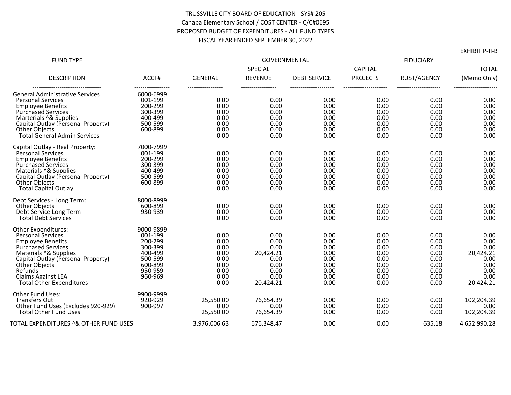#### TRUSSVILLE CITY BOARD OF EDUCATION - SYS# 205 Cahaba Elementary School / COST CENTER - C/C#0695 PROPOSED BUDGET OF EXPENDITURES - ALL FUND TYPES FISCAL YEAR ENDED SEPTEMBER 30, 2022

| <b>FUND TYPE</b>                                                                                                                                                                                                                                                           |                                                                                                   | <b>GOVERNMENTAL</b>                                                  |                                                                                |                                                                      |                                                                      | <b>FIDUCIARY</b>                                                     |                                                                                |  |
|----------------------------------------------------------------------------------------------------------------------------------------------------------------------------------------------------------------------------------------------------------------------------|---------------------------------------------------------------------------------------------------|----------------------------------------------------------------------|--------------------------------------------------------------------------------|----------------------------------------------------------------------|----------------------------------------------------------------------|----------------------------------------------------------------------|--------------------------------------------------------------------------------|--|
|                                                                                                                                                                                                                                                                            |                                                                                                   |                                                                      | SPECIAL                                                                        |                                                                      | <b>CAPITAL</b>                                                       |                                                                      | <b>TOTAL</b>                                                                   |  |
| <b>DESCRIPTION</b>                                                                                                                                                                                                                                                         | ACCT#                                                                                             | <b>GENERAL</b>                                                       | <b>REVENUE</b>                                                                 | <b>DEBT SERVICE</b>                                                  | <b>PROJECTS</b>                                                      | TRUST/AGENCY                                                         | (Memo Only)                                                                    |  |
| <b>General Administrative Services</b><br><b>Personal Services</b><br><b>Emplovee Benefits</b><br><b>Purchased Services</b><br>Marterials ^& Supplies<br>Capital Outlay (Personal Property)<br><b>Other Objects</b><br><b>Total General Admin Services</b>                 | 6000-6999<br>001-199<br>200-299<br>300-399<br>400-499<br>500-599<br>600-899                       | 0.00<br>0.00<br>0.00<br>0.00<br>0.00<br>0.00<br>0.00                 | 0.00<br>0.00<br>0.00<br>0.00<br>0.00<br>0.00<br>0.00                           | 0.00<br>0.00<br>0.00<br>0.00<br>0.00<br>0.00<br>0.00                 | 0.00<br>0.00<br>0.00<br>0.00<br>0.00<br>0.00<br>0.00                 | 0.00<br>0.00<br>0.00<br>0.00<br>0.00<br>0.00<br>0.00                 | 0.00<br>0.00<br>0.00<br>0.00<br>0.00<br>0.00<br>0.00                           |  |
| Capital Outlay - Real Property:<br><b>Personal Services</b><br><b>Employee Benefits</b><br><b>Purchased Services</b><br>Materials ^& Supplies<br>Capital Outlay (Personal Property)<br><b>Other Objects</b><br><b>Total Capital Outlay</b>                                 | 7000-7999<br>001-199<br>200-299<br>300-399<br>400-499<br>500-599<br>600-899                       | 0.00<br>0.00<br>0.00<br>0.00<br>0.00<br>0.00<br>0.00                 | 0.00<br>0.00<br>0.00<br>0.00<br>0.00<br>0.00<br>0.00                           | 0.00<br>0.00<br>0.00<br>0.00<br>0.00<br>0.00<br>0.00                 | 0.00<br>0.00<br>0.00<br>0.00<br>0.00<br>0.00<br>0.00                 | 0.00<br>0.00<br>0.00<br>0.00<br>0.00<br>0.00<br>0.00                 | 0.00<br>0.00<br>0.00<br>0.00<br>0.00<br>0.00<br>0.00                           |  |
| Debt Services - Long Term:<br><b>Other Objects</b><br>Debt Service Long Term<br><b>Total Debt Services</b>                                                                                                                                                                 | 8000-8999<br>600-899<br>930-939                                                                   | 0.00<br>0.00<br>0.00                                                 | 0.00<br>0.00<br>0.00                                                           | 0.00<br>0.00<br>0.00                                                 | 0.00<br>0.00<br>0.00                                                 | 0.00<br>0.00<br>0.00                                                 | 0.00<br>0.00<br>0.00                                                           |  |
| Other Expenditures:<br><b>Personal Services</b><br><b>Employee Benefits</b><br><b>Purchased Services</b><br>Materials ^& Supplies<br>Capital Outlay (Personal Property)<br><b>Other Objects</b><br>Refunds<br><b>Claims Against LEA</b><br><b>Total Other Expenditures</b> | 9000-9899<br>001-199<br>200-299<br>300-399<br>400-499<br>500-599<br>600-899<br>950-959<br>960-969 | 0.00<br>0.00<br>0.00<br>0.00<br>0.00<br>0.00<br>0.00<br>0.00<br>0.00 | 0.00<br>0.00<br>0.00<br>20,424.21<br>0.00<br>0.00<br>0.00<br>0.00<br>20,424.21 | 0.00<br>0.00<br>0.00<br>0.00<br>0.00<br>0.00<br>0.00<br>0.00<br>0.00 | 0.00<br>0.00<br>0.00<br>0.00<br>0.00<br>0.00<br>0.00<br>0.00<br>0.00 | 0.00<br>0.00<br>0.00<br>0.00<br>0.00<br>0.00<br>0.00<br>0.00<br>0.00 | 0.00<br>0.00<br>0.00<br>20,424.21<br>0.00<br>0.00<br>0.00<br>0.00<br>20,424.21 |  |
| <b>Other Fund Uses:</b><br><b>Transfers Out</b><br>Other Fund Uses (Excludes 920-929)<br><b>Total Other Fund Uses</b>                                                                                                                                                      | 9900-9999<br>920-929<br>900-997                                                                   | 25.550.00<br>0.00<br>25.550.00                                       | 76.654.39<br>0.00<br>76.654.39                                                 | 0.00<br>0.00<br>0.00                                                 | 0.00<br>0.00<br>0.00                                                 | 0.00<br>0.00<br>0.00                                                 | 102,204.39<br>0.00<br>102.204.39                                               |  |
| TOTAL EXPENDITURES ^& OTHER FUND USES                                                                                                                                                                                                                                      |                                                                                                   | 3,976,006.63                                                         | 676.348.47                                                                     | 0.00                                                                 | 0.00                                                                 | 635.18                                                               | 4,652,990.28                                                                   |  |

EXHIBIT P-II-B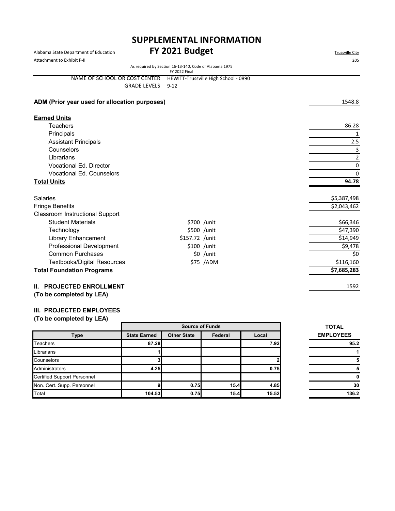# **SUPPLEMENTAL INFORMATION**

| Alabama State Department of Education         | FY 2021 Budget                                                          | <b>Trussville City</b> |
|-----------------------------------------------|-------------------------------------------------------------------------|------------------------|
| Attachment to Exhibit P-II                    | 205                                                                     |                        |
|                                               | As required by Section 16-13-140, Code of Alabama 1975<br>FY 2022 Final |                        |
| NAME OF SCHOOL OR COST CENTER                 | HEWITT-Trussville High School - 0890                                    |                        |
| <b>GRADE LEVELS</b>                           | $9 - 12$                                                                |                        |
| ADM (Prior year used for allocation purposes) |                                                                         | 1548.8                 |
| <b>Earned Units</b>                           |                                                                         |                        |
| <b>Teachers</b>                               |                                                                         | 86.28                  |
| Principals                                    |                                                                         | 1                      |
| <b>Assistant Principals</b>                   |                                                                         | 2.5                    |
| Counselors                                    |                                                                         | 3                      |
| Librarians                                    |                                                                         | $\overline{2}$         |
| <b>Vocational Ed. Director</b>                |                                                                         | 0                      |
| <b>Vocational Ed. Counselors</b>              |                                                                         | $\mathbf 0$            |
| <b>Total Units</b>                            |                                                                         | 94.78                  |
| <b>Salaries</b>                               |                                                                         | \$5,387,498            |
| <b>Fringe Benefits</b>                        |                                                                         | \$2,043,462            |
| <b>Classroom Instructional Support</b>        |                                                                         |                        |
| <b>Student Materials</b>                      | \$700 /unit                                                             | \$66,346               |
| Technology                                    | \$500 /unit                                                             | \$47,390               |
| <b>Library Enhancement</b>                    | \$157.72 /unit                                                          | \$14,949               |
| Professional Development                      | \$100 /unit                                                             | \$9,478                |
| <b>Common Purchases</b>                       | \$0 /unit                                                               | \$0                    |
| <b>Textbooks/Digital Resources</b>            | \$75 /ADM                                                               | \$116,160              |
| <b>Total Foundation Programs</b>              |                                                                         | \$7,685,283            |
| II. PROJECTED ENROLLMENT                      |                                                                         | 1592                   |

**(To be completed by LEA)**

#### **III. PROJECTED EMPLOYEES**

|                                    |                     | <b>Source of Funds</b> | <b>TOTAL</b> |       |                  |
|------------------------------------|---------------------|------------------------|--------------|-------|------------------|
| <b>Type</b>                        | <b>State Earned</b> | <b>Other State</b>     | Federal      | Local | <b>EMPLOYEES</b> |
| <b>Teachers</b>                    | 87.28               |                        |              | 7.92  | 95.2             |
| Librarians                         |                     |                        |              |       |                  |
| Counselors                         |                     |                        |              |       |                  |
| Administrators                     | 4.25                |                        |              | 0.75  |                  |
| <b>Certified Support Personnel</b> |                     |                        |              |       |                  |
| Non. Cert. Supp. Personnel         |                     | 0.75                   | 15.4         | 4.85  | 3 <sub>0</sub>   |
| Total                              | 104.53              | 0.75                   | 15.4         | 15.52 | 136.2            |

| TOTAL            |    |
|------------------|----|
| <b>EMPLOYEES</b> |    |
| 95.2             |    |
|                  |    |
|                  | 5  |
|                  | 5  |
|                  | O  |
|                  | 30 |
| 136.2            |    |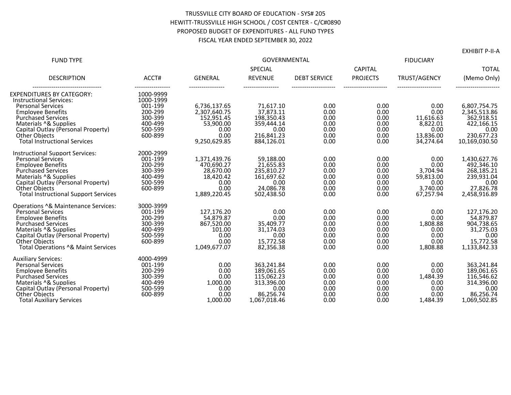#### TRUSSVILLE CITY BOARD OF EDUCATION - SYS# 205 HEWITT-TRUSSVILLE HIGH SCHOOL / COST CENTER - C/C#0890 PROPOSED BUDGET OF EXPENDITURES - ALL FUND TYPES FISCAL YEAR ENDED SEPTEMBER 30, 2022

EXHIBIT P-II-A

| <b>FUND TYPE</b>                                                                                                                                                                                                                                                  |                                                                             | <b>GOVERNMENTAL</b>                                                                  |                                                                                           |                                                      | <b>FIDUCIARY</b>                                     |                                                                        |                                                                                             |
|-------------------------------------------------------------------------------------------------------------------------------------------------------------------------------------------------------------------------------------------------------------------|-----------------------------------------------------------------------------|--------------------------------------------------------------------------------------|-------------------------------------------------------------------------------------------|------------------------------------------------------|------------------------------------------------------|------------------------------------------------------------------------|---------------------------------------------------------------------------------------------|
|                                                                                                                                                                                                                                                                   |                                                                             |                                                                                      | SPECIAL                                                                                   |                                                      | <b>CAPITAL</b>                                       |                                                                        | <b>TOTAL</b>                                                                                |
| <b>DESCRIPTION</b>                                                                                                                                                                                                                                                | ACCT#                                                                       | <b>GENERAL</b>                                                                       | <b>REVENUE</b>                                                                            | <b>DEBT SERVICE</b>                                  | <b>PROJECTS</b>                                      | TRUST/AGENCY                                                           | (Memo Only)                                                                                 |
| <b>EXPENDITURES BY CATEGORY:</b><br><b>Instructional Services:</b>                                                                                                                                                                                                | 1000-9999<br>1000-1999                                                      |                                                                                      |                                                                                           |                                                      |                                                      |                                                                        |                                                                                             |
| <b>Personal Services</b><br><b>Employee Benefits</b><br><b>Purchased Services</b><br>Materials ^& Supplies<br>Capital Outlay (Personal Property)<br>Other Objects                                                                                                 | 001-199<br>200-299<br>300-399<br>400-499<br>500-599<br>600-899              | 6.736.137.65<br>2,307,640.75<br>152,951.45<br>53,900.00<br>0.00<br>0.00              | 71.617.10<br>37,873.11<br>198,350.43<br>359,444.14<br>0.00<br>216,841.23                  | 0.00<br>0.00<br>0.00<br>0.00<br>0.00<br>0.00         | 0.00<br>0.00<br>0.00<br>0.00<br>0.00<br>0.00         | 0.00<br>0.00<br>11.616.63<br>8,822.01<br>0.00<br>13,836.00             | 6.807.754.75<br>2,345,513.86<br>362,918.51<br>422,166.15<br>0.00<br>230,677.23              |
| <b>Total Instructional Services</b>                                                                                                                                                                                                                               |                                                                             | 9,250,629.85                                                                         | 884,126.01                                                                                | 0.00                                                 | 0.00                                                 | 34,274.64                                                              | 10,169,030.50                                                                               |
| <b>Instructional Support Services:</b><br><b>Personal Services</b><br><b>Employee Benefits</b><br><b>Purchased Services</b><br>Materials ^& Supplies<br>Capital Outlay (Personal Property)<br><b>Other Objects</b><br><b>Total Instructional Support Services</b> | 2000-2999<br>001-199<br>200-299<br>300-399<br>400-499<br>500-599<br>600-899 | 1.371.439.76<br>470,690.27<br>28,670.00<br>18,420.42<br>0.00<br>0.00<br>1,889,220.45 | 59,188.00<br>21,655.83<br>235,810.27<br>161,697.62<br>0.00<br>24,086.78<br>502,438.50     | 0.00<br>0.00<br>0.00<br>0.00<br>0.00<br>0.00<br>0.00 | 0.00<br>0.00<br>0.00<br>0.00<br>0.00<br>0.00<br>0.00 | 0.00<br>0.00<br>3,704.94<br>59,813.00<br>0.00<br>3.740.00<br>67.257.94 | 1,430,627.76<br>492,346.10<br>268,185.21<br>239,931.04<br>0.00<br>27,826.78<br>2,458,916.89 |
| Operations ^& Maintenance Services:<br><b>Personal Services</b><br><b>Emplovee Benefits</b><br><b>Purchased Services</b><br>Materials ^& Supplies<br>Capital Outlay (Personal Property)<br><b>Other Objects</b><br>Total Operations ^& Maint Services             | 3000-3999<br>001-199<br>200-299<br>300-399<br>400-499<br>500-599<br>600-899 | 127.176.20<br>54,879.87<br>867,520.00<br>101.00<br>0.00<br>0.00<br>1,049,677.07      | 0.00<br>0.00<br>35,409.77<br>31,174.03<br>0.00<br>15,772.58<br>82.356.38                  | 0.00<br>0.00<br>0.00<br>0.00<br>0.00<br>0.00<br>0.00 | 0.00<br>0.00<br>0.00<br>0.00<br>0.00<br>0.00<br>0.00 | 0.00<br>0.00<br>1,808.88<br>0.00<br>0.00<br>0.00<br>1,808.88           | 127.176.20<br>54,879.87<br>904,738.65<br>31,275.03<br>0.00<br>15.772.58<br>1.133.842.33     |
| <b>Auxiliary Services:</b><br><b>Personal Services</b><br><b>Employee Benefits</b><br><b>Purchased Services</b><br>Materials ^& Supplies<br>Capital Outlay (Personal Property)<br><b>Other Objects</b><br><b>Total Auxiliary Services</b>                         | 4000-4999<br>001-199<br>200-299<br>300-399<br>400-499<br>500-599<br>600-899 | 0.00<br>0.00<br>0.00<br>1,000.00<br>0.00<br>0.00<br>1,000.00                         | 363.241.84<br>189,061.65<br>115.062.23<br>313,396.00<br>0.00<br>86,256.74<br>1,067,018.46 | 0.00<br>0.00<br>0.00<br>0.00<br>0.00<br>0.00<br>0.00 | 0.00<br>0.00<br>0.00<br>0.00<br>0.00<br>0.00<br>0.00 | 0.00<br>0.00<br>1,484.39<br>0.00<br>0.00<br>0.00<br>1,484.39           | 363.241.84<br>189,061.65<br>116.546.62<br>314,396.00<br>0.00<br>86.256.74<br>1,069,502.85   |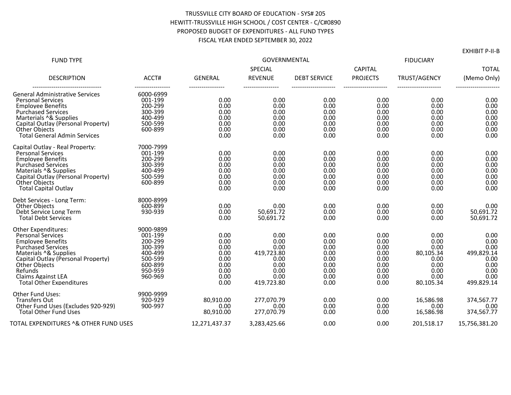#### TRUSSVILLE CITY BOARD OF EDUCATION - SYS# 205 HEWITT-TRUSSVILLE HIGH SCHOOL / COST CENTER - C/C#0890 PROPOSED BUDGET OF EXPENDITURES - ALL FUND TYPES FISCAL YEAR ENDED SEPTEMBER 30, 2022

| <b>FUND TYPE</b>                                                                                                                                                                                                                                                                  |                                                                                                   |                                                                      | <b>GOVERNMENTAL</b><br>SPECIAL                                                   |                                                                      | <b>CAPITAL</b>                                                       | <b>FIDUCIARY</b>                                                               | <b>TOTAL</b>                                                                     |
|-----------------------------------------------------------------------------------------------------------------------------------------------------------------------------------------------------------------------------------------------------------------------------------|---------------------------------------------------------------------------------------------------|----------------------------------------------------------------------|----------------------------------------------------------------------------------|----------------------------------------------------------------------|----------------------------------------------------------------------|--------------------------------------------------------------------------------|----------------------------------------------------------------------------------|
| <b>DESCRIPTION</b>                                                                                                                                                                                                                                                                | ACCT#                                                                                             | <b>GENERAL</b>                                                       | <b>REVENUE</b>                                                                   | <b>DEBT SERVICE</b>                                                  | <b>PROJECTS</b>                                                      | TRUST/AGENCY                                                                   | (Memo Only)                                                                      |
| <b>General Administrative Services</b><br><b>Personal Services</b><br><b>Employee Benefits</b><br><b>Purchased Services</b><br>Marterials ^& Supplies<br>Capital Outlay (Personal Property)<br>Other Objects<br><b>Total General Admin Services</b>                               | 6000-6999<br>001-199<br>200-299<br>300-399<br>400-499<br>500-599<br>600-899                       | 0.00<br>0.00<br>0.00<br>0.00<br>0.00<br>0.00<br>0.00                 | 0.00<br>0.00<br>0.00<br>0.00<br>0.00<br>0.00<br>0.00                             | 0.00<br>0.00<br>0.00<br>0.00<br>0.00<br>0.00<br>0.00                 | 0.00<br>0.00<br>0.00<br>0.00<br>0.00<br>0.00<br>0.00                 | 0.00<br>0.00<br>0.00<br>0.00<br>0.00<br>0.00<br>0.00                           | 0.00<br>0.00<br>0.00<br>0.00<br>0.00<br>0.00<br>0.00                             |
| Capital Outlay - Real Property:<br><b>Personal Services</b><br><b>Employee Benefits</b><br><b>Purchased Services</b><br>Materials ^& Supplies<br>Capital Outlay (Personal Property)<br><b>Other Objects</b><br><b>Total Capital Outlay</b>                                        | 7000-7999<br>001-199<br>200-299<br>300-399<br>400-499<br>500-599<br>600-899                       | 0.00<br>0.00<br>0.00<br>0.00<br>0.00<br>0.00<br>0.00                 | 0.00<br>0.00<br>0.00<br>0.00<br>0.00<br>0.00<br>0.00                             | 0.00<br>0.00<br>0.00<br>0.00<br>0.00<br>0.00<br>0.00                 | 0.00<br>0.00<br>0.00<br>0.00<br>0.00<br>0.00<br>0.00                 | 0.00<br>0.00<br>0.00<br>0.00<br>0.00<br>0.00<br>0.00                           | 0.00<br>0.00<br>0.00<br>0.00<br>0.00<br>0.00<br>0.00                             |
| Debt Services - Long Term:<br>Other Objects<br>Debt Service Long Term<br><b>Total Debt Services</b>                                                                                                                                                                               | 8000-8999<br>600-899<br>930-939                                                                   | 0.00<br>0.00<br>0.00                                                 | 0.00<br>50,691.72<br>50,691.72                                                   | 0.00<br>0.00<br>0.00                                                 | 0.00<br>0.00<br>0.00                                                 | 0.00<br>0.00<br>0.00                                                           | 0.00<br>50,691.72<br>50,691.72                                                   |
| <b>Other Expenditures:</b><br><b>Personal Services</b><br><b>Employee Benefits</b><br><b>Purchased Services</b><br>Materials ^& Supplies<br>Capital Outlay (Personal Property)<br><b>Other Objects</b><br>Refunds<br><b>Claims Against LEA</b><br><b>Total Other Expenditures</b> | 9000-9899<br>001-199<br>200-299<br>300-399<br>400-499<br>500-599<br>600-899<br>950-959<br>960-969 | 0.00<br>0.00<br>0.00<br>0.00<br>0.00<br>0.00<br>0.00<br>0.00<br>0.00 | 0.00<br>0.00<br>0.00<br>419,723.80<br>0.00<br>0.00<br>0.00<br>0.00<br>419,723.80 | 0.00<br>0.00<br>0.00<br>0.00<br>0.00<br>0.00<br>0.00<br>0.00<br>0.00 | 0.00<br>0.00<br>0.00<br>0.00<br>0.00<br>0.00<br>0.00<br>0.00<br>0.00 | 0.00<br>0.00<br>0.00<br>80,105.34<br>0.00<br>0.00<br>0.00<br>0.00<br>80,105.34 | 0.00<br>0.00<br>0.00<br>499,829.14<br>0.00<br>0.00<br>0.00<br>0.00<br>499,829.14 |
| <b>Other Fund Uses:</b><br><b>Transfers Out</b><br>Other Fund Uses (Excludes 920-929)<br><b>Total Other Fund Uses</b>                                                                                                                                                             | 9900-9999<br>920-929<br>900-997                                                                   | 80.910.00<br>0.00<br>80,910.00                                       | 277.070.79<br>0.00<br>277,070.79                                                 | 0.00<br>0.00<br>0.00                                                 | 0.00<br>0.00<br>0.00                                                 | 16.586.98<br>0.00<br>16,586.98                                                 | 374,567.77<br>0.00<br>374,567.77                                                 |
| TOTAL EXPENDITURES ^& OTHER FUND USES                                                                                                                                                                                                                                             |                                                                                                   | 12,271,437.37                                                        | 3,283,425.66                                                                     | 0.00                                                                 | 0.00                                                                 | 201,518.17                                                                     | 15,756,381.20                                                                    |

EXHIBIT P-II-B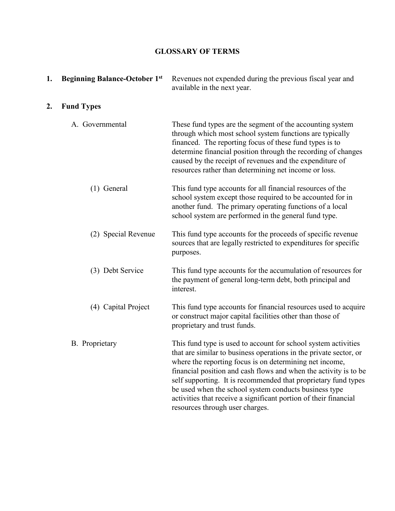### **GLOSSARY OF TERMS**

| 1. | <b>Beginning Balance-October 1st</b> | Revenues not expended during the previous fiscal year and<br>available in the next year.                                                                                                                                                                                                                                                                                                                                                                                                             |
|----|--------------------------------------|------------------------------------------------------------------------------------------------------------------------------------------------------------------------------------------------------------------------------------------------------------------------------------------------------------------------------------------------------------------------------------------------------------------------------------------------------------------------------------------------------|
| 2. | <b>Fund Types</b>                    |                                                                                                                                                                                                                                                                                                                                                                                                                                                                                                      |
|    | A. Governmental                      | These fund types are the segment of the accounting system<br>through which most school system functions are typically<br>financed. The reporting focus of these fund types is to<br>determine financial position through the recording of changes<br>caused by the receipt of revenues and the expenditure of<br>resources rather than determining net income or loss.                                                                                                                               |
|    | $(1)$ General                        | This fund type accounts for all financial resources of the<br>school system except those required to be accounted for in<br>another fund. The primary operating functions of a local<br>school system are performed in the general fund type.                                                                                                                                                                                                                                                        |
|    | (2) Special Revenue                  | This fund type accounts for the proceeds of specific revenue<br>sources that are legally restricted to expenditures for specific<br>purposes.                                                                                                                                                                                                                                                                                                                                                        |
|    | (3) Debt Service                     | This fund type accounts for the accumulation of resources for<br>the payment of general long-term debt, both principal and<br>interest.                                                                                                                                                                                                                                                                                                                                                              |
|    | (4) Capital Project                  | This fund type accounts for financial resources used to acquire<br>or construct major capital facilities other than those of<br>proprietary and trust funds.                                                                                                                                                                                                                                                                                                                                         |
|    | <b>B.</b> Proprietary                | This fund type is used to account for school system activities<br>that are similar to business operations in the private sector, or<br>where the reporting focus is on determining net income,<br>financial position and cash flows and when the activity is to be<br>self supporting. It is recommended that proprietary fund types<br>be used when the school system conducts business type<br>activities that receive a significant portion of their financial<br>resources through user charges. |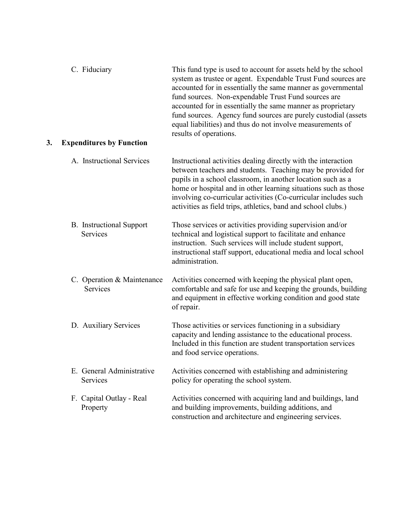| 3. | C. Fiduciary<br><b>Expenditures by Function</b> | This fund type is used to account for assets held by the school<br>system as trustee or agent. Expendable Trust Fund sources are<br>accounted for in essentially the same manner as governmental<br>fund sources. Non-expendable Trust Fund sources are<br>accounted for in essentially the same manner as proprietary<br>fund sources. Agency fund sources are purely custodial (assets<br>equal liabilities) and thus do not involve measurements of<br>results of operations. |
|----|-------------------------------------------------|----------------------------------------------------------------------------------------------------------------------------------------------------------------------------------------------------------------------------------------------------------------------------------------------------------------------------------------------------------------------------------------------------------------------------------------------------------------------------------|
|    |                                                 |                                                                                                                                                                                                                                                                                                                                                                                                                                                                                  |
|    | A. Instructional Services                       | Instructional activities dealing directly with the interaction<br>between teachers and students. Teaching may be provided for<br>pupils in a school classroom, in another location such as a<br>home or hospital and in other learning situations such as those<br>involving co-curricular activities (Co-curricular includes such<br>activities as field trips, athletics, band and school clubs.)                                                                              |
|    | <b>B.</b> Instructional Support<br>Services     | Those services or activities providing supervision and/or<br>technical and logistical support to facilitate and enhance<br>instruction. Such services will include student support,<br>instructional staff support, educational media and local school<br>administration.                                                                                                                                                                                                        |
|    | C. Operation & Maintenance<br>Services          | Activities concerned with keeping the physical plant open,<br>comfortable and safe for use and keeping the grounds, building<br>and equipment in effective working condition and good state<br>of repair.                                                                                                                                                                                                                                                                        |
|    | D. Auxiliary Services                           | Those activities or services functioning in a subsidiary<br>capacity and lending assistance to the educational process.<br>Included in this function are student transportation services<br>and food service operations.                                                                                                                                                                                                                                                         |
|    | E. General Administrative<br>Services           | Activities concerned with establishing and administering<br>policy for operating the school system.                                                                                                                                                                                                                                                                                                                                                                              |
|    | F. Capital Outlay - Real<br>Property            | Activities concerned with acquiring land and buildings, land<br>and building improvements, building additions, and<br>construction and architecture and engineering services.                                                                                                                                                                                                                                                                                                    |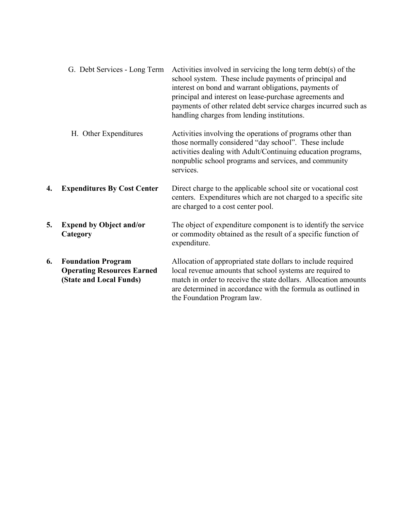|    | G. Debt Services - Long Term                                                              | Activities involved in servicing the long term $\text{debt}(s)$ of the<br>school system. These include payments of principal and<br>interest on bond and warrant obligations, payments of<br>principal and interest on lease-purchase agreements and<br>payments of other related debt service charges incurred such as<br>handling charges from lending institutions. |
|----|-------------------------------------------------------------------------------------------|------------------------------------------------------------------------------------------------------------------------------------------------------------------------------------------------------------------------------------------------------------------------------------------------------------------------------------------------------------------------|
|    | H. Other Expenditures                                                                     | Activities involving the operations of programs other than<br>those normally considered "day school". These include<br>activities dealing with Adult/Continuing education programs,<br>nonpublic school programs and services, and community<br>services.                                                                                                              |
| 4. | <b>Expenditures By Cost Center</b>                                                        | Direct charge to the applicable school site or vocational cost<br>centers. Expenditures which are not charged to a specific site<br>are charged to a cost center pool.                                                                                                                                                                                                 |
| 5. | <b>Expend by Object and/or</b><br>Category                                                | The object of expenditure component is to identify the service<br>or commodity obtained as the result of a specific function of<br>expenditure.                                                                                                                                                                                                                        |
| 6. | <b>Foundation Program</b><br><b>Operating Resources Earned</b><br>(State and Local Funds) | Allocation of appropriated state dollars to include required<br>local revenue amounts that school systems are required to<br>match in order to receive the state dollars. Allocation amounts<br>are determined in accordance with the formula as outlined in<br>the Foundation Program law.                                                                            |